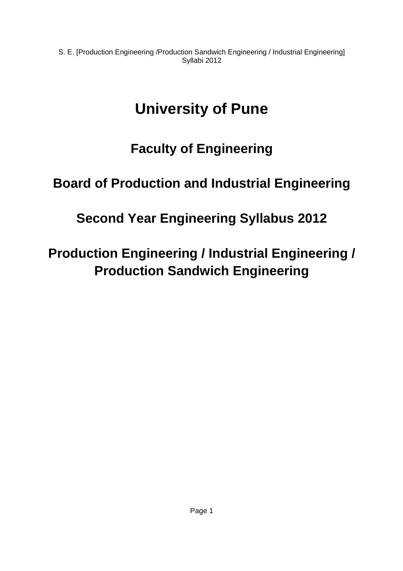# **University of Pune**

# **Faculty of Engineering**

# **Board of Production and Industrial Engineering**

# **Second Year Engineering Syllabus 2012**

# **Production Engineering / Industrial Engineering / Production Sandwich Engineering**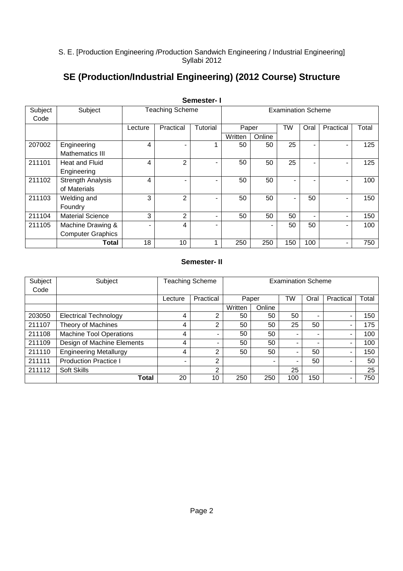## **SE (Production/Industrial Engineering) (2012 Course) Structure**

|                 |                          |                        |                | ו - וטטטוויט   |                           |        |           |                          |           |       |  |  |
|-----------------|--------------------------|------------------------|----------------|----------------|---------------------------|--------|-----------|--------------------------|-----------|-------|--|--|
| Subject<br>Code | Subject                  | <b>Teaching Scheme</b> |                |                | <b>Examination Scheme</b> |        |           |                          |           |       |  |  |
|                 |                          |                        |                |                |                           |        |           |                          |           |       |  |  |
|                 |                          | Lecture                | Practical      | Tutorial       | Paper                     |        | <b>TW</b> | Oral                     | Practical | Total |  |  |
|                 |                          |                        |                |                | Written                   | Online |           |                          |           |       |  |  |
| 207002          | Engineering              | 4                      |                |                | 50                        | 50     | 25        |                          | -         | 125   |  |  |
|                 | Mathematics III          |                        |                |                |                           |        |           |                          |           |       |  |  |
| 211101          | Heat and Fluid           | 4                      | $\overline{2}$ | $\blacksquare$ | 50                        | 50     | 25        |                          | -         | 125   |  |  |
|                 | Engineering              |                        |                |                |                           |        |           |                          |           |       |  |  |
| 211102          | <b>Strength Analysis</b> | 4                      |                | ۰              | 50                        | 50     |           |                          | Ξ.        | 100   |  |  |
|                 | of Materials             |                        |                |                |                           |        |           |                          |           |       |  |  |
| 211103          | Welding and              | 3                      | $\overline{2}$ | ۰              | 50                        | 50     |           | 50                       |           | 150   |  |  |
|                 | Foundry                  |                        |                |                |                           |        |           |                          |           |       |  |  |
| 211104          | <b>Material Science</b>  | 3                      | $\overline{2}$ | -              | 50                        | 50     | 50        | $\overline{\phantom{0}}$ |           | 150   |  |  |
| 211105          | Machine Drawing &        | $\blacksquare$         | 4              | -              |                           | -      | 50        | 50                       |           | 100   |  |  |
|                 | <b>Computer Graphics</b> |                        |                |                |                           |        |           |                          |           |       |  |  |
|                 | Total                    | 18                     | 10             |                | 250                       | 250    | 150       | 100                      |           | 750   |  |  |

### **Semester- I**

### **Semester- II**

| Subject | Subject                       | Teaching Scheme |           | <b>Examination Scheme</b> |        |                          |      |           |       |  |  |
|---------|-------------------------------|-----------------|-----------|---------------------------|--------|--------------------------|------|-----------|-------|--|--|
| Code    |                               |                 |           |                           |        |                          |      |           |       |  |  |
|         |                               | Lecture         | Practical |                           | Paper  |                          | Oral | Practical | Total |  |  |
|         |                               |                 |           | Written                   | Online |                          |      |           |       |  |  |
| 203050  | <b>Electrical Technology</b>  | 4               | 2         | 50                        | 50     | 50                       | -    | -         | 150   |  |  |
| 211107  | Theory of Machines            | 4               | 2         | 50                        | 50     | 25                       | 50   |           | 175   |  |  |
| 211108  | Machine Tool Operations       | 4               |           | 50                        | 50     |                          | -    |           | 100   |  |  |
| 211109  | Design of Machine Elements    | 4               |           | 50                        | 50     | $\overline{\phantom{0}}$ | -    |           | 100   |  |  |
| 211110  | <b>Engineering Metallurgy</b> | 4               | 2         | 50                        | 50     | $\overline{\phantom{0}}$ | 50   |           | 150   |  |  |
| 211111  | <b>Production Practice I</b>  | -               | 2         |                           |        | $\overline{\phantom{0}}$ | 50   |           | 50    |  |  |
| 211112  | Soft Skills                   |                 | 2         |                           |        | 25                       |      |           | 25    |  |  |
|         | Total                         | 20              | 10        | 250                       | 250    | 100                      | 150  |           | 750   |  |  |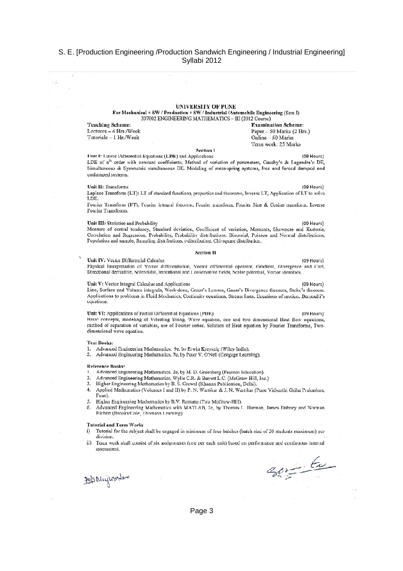### **UNIVERSITY OF PUNE**

For Mechanical + SW / Production + SW / Industrial / Automobile Engineering (Sem I) 207002 ENGINEERING MATHEMATICS - III (2012 Course)

**Teaching Scheme:** Lectures - 4 Hrs./Week Tutorials - 1 Hr./Week

**Examination Scheme:** Paper - 50 Marks (2 Hrs.) Online - 50 Marks Term work: 25 Marks

### **Section I**

Unit I: Linear Differential Equations (LDE) and Applications (09 Hours) LDE of n<sup>th</sup> order with constant coefficients, Method of variation of parameters, Cauchy's & Legendre's DE, Simultaneous & Symmetric simultaneous DE. Modeling of mass-spring systems, free and forced damped and undamped systems.

### Unit II: Transforms

Laplace Transform (LT): LT of standard functions, properties and theorems, Inverse LT, Application of LT to solve LDE.

Fourier Transform (FT): Fourier integral theorem, Fourier transform, Fourier Sine & Cosine transform, Inverse Fourier Transforms.

### Unit III: Statistics and Probability

Measure of central tendency, Standard deviation, Coefficient of variation, Moments, Skewness and Kurtosis, Correlation and Regression, Probability, Probability distributions: Binomial, Poisson and Normal distributions, Population and sample, Sampling distributions, t-distribution, Chi-square distribution.

### **Section II**

Unit IV: Vector Differential Calculus

(09 Hours) Physical interpretation of Vector differentiation, Vector differential operator, Gradient, Divergence and Curl, Directional derivative, Solenoidal, Irrotational and Conservative fields, Scalar potential, Vector identities.

### Unit V: Vector Integral Calculus and Applications

Line, Surface and Volume integrals, Work-done, Green's Lemma, Gauss's Divergence theorem, Stoke's theorem. Applications to problems in Fluid Mechanics, Continuity equations, Stream lines, Equations of motion, Bernoulli's cquations.

### Unit VI: Applications of Partial Differential Equations (PDE)

Basic concepts, modeling of Vibrating String, Wave equation, one and two dimensional Heat flow equations, method of separation of variables, use of Fourier series. Solution of Heat equation by Fourier Transforms, Twodimensional wave equation.

### **Text Books:**

- 1. Advanced Engineering Mathematics, 9e, by Erwin Kreyszig (Wiley India).
- 2. Advanced Engineering Mathematics, 7e, by Peter V. O'Neil (Cengage Learning).

### **Reference Books:**

- Advanced Engineering Mathematics, 2e, by M. D. Greenberg (Pearson Education).
- $\mathcal{D}$ Advanced Engineering Mathematics, Wylie C.R. & Barrett L.C. (McGraw-Hill, Inc.)
- Higher Engineering Mathematics by B. S. Grewal (Khanna Publication, Delhi).  $\mathcal{L}$
- Applied Mathematics (Volumes I and II) by P. N. Wartikar & J. N. Wartikar (Pune Vidyarthi Griha Prakashan, 4. Pune).
- 5. Higher Engineering Mathematics by B.V. Ramana (Tata McGraw-Hill).
- Advanced Engineering Mathematics with MATLAB, 2e, by Thomas L. Harman, James Dabney and Norman 6. Richert (Brooks/Cole, Thomson Learning)

### Tutorial and Term Work:

- Tutorial for the subject shall be engaged in minimum of four batches (batch size of 20 students maximum) per  $i)$ division
- ii) Term work shall consist of six assignments (one per each unit) based on performance and continuous internal assessment.

(09 Hours)

(09 Hours)

(09 Hours)

 $(09$  Hours)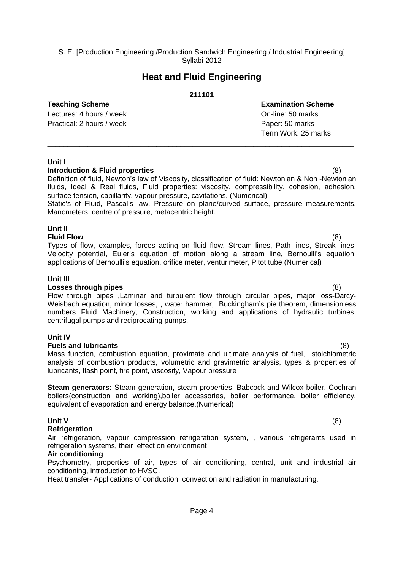### **Heat and Fluid Engineering**

### **211101**

### **Teaching Scheme Examination Scheme**

Lectures: 4 hours / week **Definition** Con-line: 50 marks Practical: 2 hours / week Paper: 50 marks

Term Work: 25 marks

### **Unit I**

### **Introduction & Fluid properties** (8)

Definition of fluid, Newton's law of Viscosity, classification of fluid: Newtonian & Non -Newtonian fluids, Ideal & Real fluids, Fluid properties: viscosity, compressibility, cohesion, adhesion, surface tension, capillarity, vapour pressure, cavitations. (Numerical)

\_\_\_\_\_\_\_\_\_\_\_\_\_\_\_\_\_\_\_\_\_\_\_\_\_\_\_\_\_\_\_\_\_\_\_\_\_\_\_\_\_\_\_\_\_\_\_\_\_\_\_\_\_\_\_\_\_\_\_\_\_\_\_\_\_\_\_\_\_\_\_\_\_\_\_\_

Static's of Fluid, Pascal's law, Pressure on plane/curved surface, pressure measurements, Manometers, centre of pressure, metacentric height.

### **Unit II**

**Fluid Flow** (8) Types of flow, examples, forces acting on fluid flow, Stream lines, Path lines, Streak lines. Velocity potential, Euler's equation of motion along a stream line, Bernoulli's equation, applications of Bernoulli's equation, orifice meter, venturimeter, Pitot tube (Numerical)

### **Unit III**

### **Losses through pipes** (8)

Flow through pipes ,Laminar and turbulent flow through circular pipes, major loss-Darcy-Weisbach equation, minor losses, , water hammer, Buckingham's pie theorem, dimensionless numbers Fluid Machinery, Construction, working and applications of hydraulic turbines, centrifugal pumps and reciprocating pumps.

### **Unit IV**

### **Fuels and lubricants** (8)

Mass function, combustion equation, proximate and ultimate analysis of fuel, stoichiometric analysis of combustion products, volumetric and gravimetric analysis, types & properties of lubricants, flash point, fire point, viscosity, Vapour pressure

**Steam generators:** Steam generation, steam properties, Babcock and Wilcox boiler, Cochran boilers(construction and working),boiler accessories, boiler performance, boiler efficiency, equivalent of evaporation and energy balance.(Numerical)

### **Unit V** (8)

### **Refrigeration**

Air refrigeration, vapour compression refrigeration system, , various refrigerants used in refrigeration systems, their effect on environment

### **Air conditioning**

Psychometry, properties of air, types of air conditioning, central, unit and industrial air conditioning, introduction to HVSC.

Heat transfer- Applications of conduction, convection and radiation in manufacturing.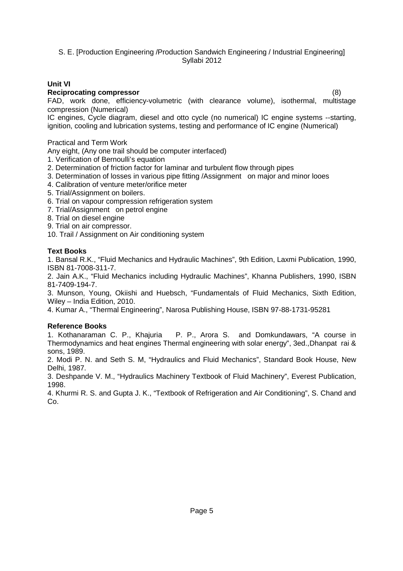### **Unit VI**

### **Reciprocating compressor** (8)

FAD, work done, efficiency-volumetric (with clearance volume), isothermal, multistage compression (Numerical)

IC engines, Cycle diagram, diesel and otto cycle (no numerical) IC engine systems --starting, ignition, cooling and lubrication systems, testing and performance of IC engine (Numerical)

Practical and Term Work

Any eight, (Any one trail should be computer interfaced)

1. Verification of Bernoulli's equation

- 2. Determination of friction factor for laminar and turbulent flow through pipes
- 3. Determination of losses in various pipe fitting /Assignment on major and minor looes
- 4. Calibration of venture meter/orifice meter
- 5. Trial/Assignment on boilers.
- 6. Trial on vapour compression refrigeration system
- 7. Trial/Assignment on petrol engine
- 8. Trial on diesel engine
- 9. Trial on air compressor.
- 10. Trail / Assignment on Air conditioning system

### **Text Books**

1. Bansal R.K., "Fluid Mechanics and Hydraulic Machines", 9th Edition, Laxmi Publication, 1990, ISBN 81-7008-311-7.

2. Jain A.K., "Fluid Mechanics including Hydraulic Machines", Khanna Publishers, 1990, ISBN 81-7409-194-7.

3. Munson, Young, Okiishi and Huebsch, "Fundamentals of Fluid Mechanics, Sixth Edition, Wiley – India Edition, 2010.

4. Kumar A., "Thermal Engineering", Narosa Publishing House, ISBN 97-88-1731-95281

### **Reference Books**

1. Kothanaraman C. P., Khajuria P. P., Arora S. and Domkundawars, "A course in Thermodynamics and heat engines Thermal engineering with solar energy", 3ed.,Dhanpat rai & sons, 1989.

2. Modi P. N. and Seth S. M, "Hydraulics and Fluid Mechanics", Standard Book House, New Delhi, 1987.

3. Deshpande V. M., "Hydraulics Machinery Textbook of Fluid Machinery", Everest Publication, 1998.

4. Khurmi R. S. and Gupta J. K., "Textbook of Refrigeration and Air Conditioning", S. Chand and Co.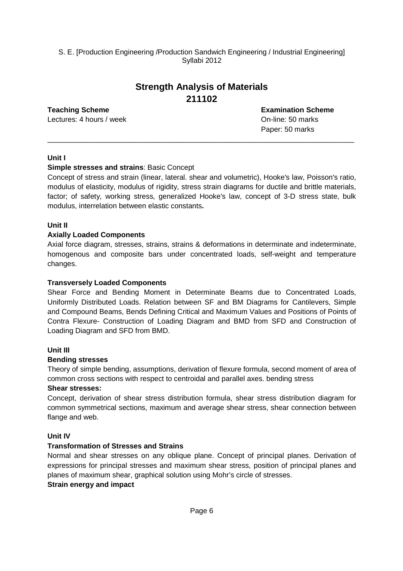## **Strength Analysis of Materials 211102**

\_\_\_\_\_\_\_\_\_\_\_\_\_\_\_\_\_\_\_\_\_\_\_\_\_\_\_\_\_\_\_\_\_\_\_\_\_\_\_\_\_\_\_\_\_\_\_\_\_\_\_\_\_\_\_\_\_\_\_\_\_\_\_\_\_\_\_\_\_\_\_\_\_\_\_\_

Lectures: 4 hours / week **Definition** Containers: 4 hours / week **On-line: 50 marks** 

**Teaching Scheme Examination Scheme** Paper: 50 marks

### **Unit I**

### **Simple stresses and strains**: Basic Concept

Concept of stress and strain (linear, lateral. shear and volumetric), Hooke's law, Poisson's ratio, modulus of elasticity, modulus of rigidity, stress strain diagrams for ductile and brittle materials, factor; of safety, working stress, generalized Hooke's law, concept of 3-D stress state, bulk modulus, interrelation between elastic constants**.** 

### **Unit II**

### **Axially Loaded Components**

Axial force diagram, stresses, strains, strains & deformations in determinate and indeterminate, homogenous and composite bars under concentrated loads, self-weight and temperature changes.

### **Transversely Loaded Components**

Shear Force and Bending Moment in Determinate Beams due to Concentrated Loads, Uniformly Distributed Loads. Relation between SF and BM Diagrams for Cantilevers, Simple and Compound Beams, Bends Defining Critical and Maximum Values and Positions of Points of Contra Flexure- Construction of Loading Diagram and BMD from SFD and Construction of Loading Diagram and SFD from BMD.

### **Unit III**

### **Bending stresses**

Theory of simple bending, assumptions, derivation of flexure formula, second moment of area of common cross sections with respect to centroidal and parallel axes. bending stress

### **Shear stresses:**

Concept, derivation of shear stress distribution formula, shear stress distribution diagram for common symmetrical sections, maximum and average shear stress, shear connection between flange and web.

### **Unit IV**

### **Transformation of Stresses and Strains**

Normal and shear stresses on any oblique plane. Concept of principal planes. Derivation of expressions for principal stresses and maximum shear stress, position of principal planes and planes of maximum shear, graphical solution using Mohr's circle of stresses.

### **Strain energy and impact**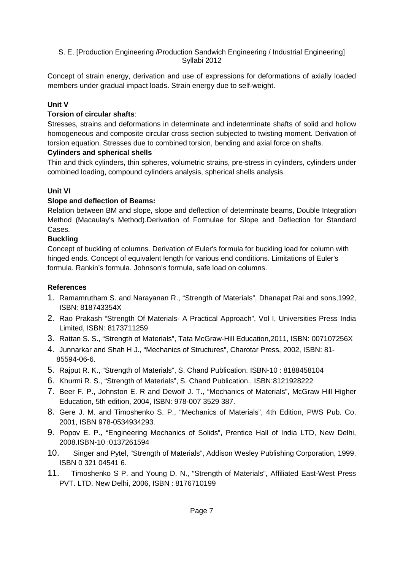Concept of strain energy, derivation and use of expressions for deformations of axially loaded members under gradual impact loads. Strain energy due to self-weight.

### **Unit V**

### **Torsion of circular shafts**:

Stresses, strains and deformations in determinate and indeterminate shafts of solid and hollow homogeneous and composite circular cross section subjected to twisting moment. Derivation of torsion equation. Stresses due to combined torsion, bending and axial force on shafts.

### **Cylinders and spherical shells**

Thin and thick cylinders, thin spheres, volumetric strains, pre-stress in cylinders, cylinders under combined loading, compound cylinders analysis, spherical shells analysis.

### **Unit VI**

### **Slope and deflection of Beams:**

Relation between BM and slope, slope and deflection of determinate beams, Double Integration Method (Macaulay's Method).Derivation of Formulae for Slope and Deflection for Standard Cases.

### **Buckling**

Concept of buckling of columns. Derivation of Euler's formula for buckling load for column with hinged ends. Concept of equivalent length for various end conditions. Limitations of Euler's formula. Rankin's formula. Johnson's formula, safe load on columns.

### **References**

- 1. Ramamrutham S. and Narayanan R., "Strength of Materials", Dhanapat Rai and sons,1992, ISBN: 818743354X
- 2. Rao Prakash "Strength Of Materials- A Practical Approach", Vol I, Universities Press India Limited, ISBN: 8173711259
- 3. Rattan S. S., "Strength of Materials", Tata McGraw-Hill Education,2011, ISBN: 007107256X
- 4. Junnarkar and Shah H J., "Mechanics of Structures", Charotar Press, 2002, ISBN: 81- 85594-06-6.
- 5. Rajput R. K., "Strength of Materials", S. Chand Publication. ISBN-10 : 8188458104
- 6. Khurmi R. S., "Strength of Materials", S. Chand Publication., ISBN:8121928222
- 7. Beer F. P., Johnston E. R and Dewolf J. T., "Mechanics of Materials", McGraw Hill Higher Education, 5th edition, 2004, ISBN: 978-007 3529 387.
- 8. Gere J. M. and Timoshenko S. P., "Mechanics of Materials", 4th Edition, PWS Pub. Co, 2001, ISBN 978-0534934293.
- 9. Popov E. P., "Engineering Mechanics of Solids", Prentice Hall of India LTD, New Delhi, 2008.ISBN-10 :0137261594
- 10. Singer and Pytel, "Strength of Materials", Addison Wesley Publishing Corporation, 1999, ISBN 0 321 04541 6.
- 11. Timoshenko S P. and Young D. N., "Strength of Materials", Affiliated East-West Press PVT. LTD. New Delhi, 2006, ISBN : 8176710199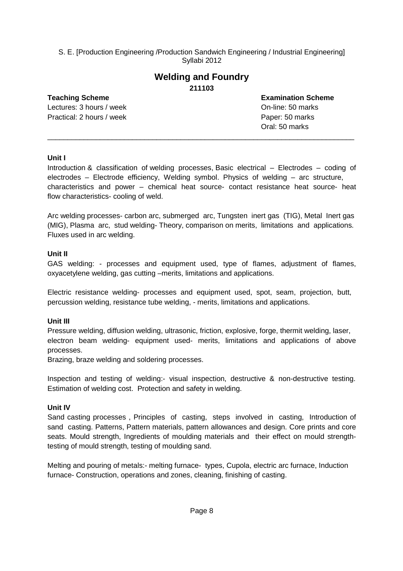### **Welding and Foundry 211103**

Lectures: 3 hours / week **Definition** Con-line: 50 marks Practical: 2 hours / week Paper: 50 marks

**Teaching Scheme Examination Scheme** Oral: 50 marks

### **Unit I**

Introduction & classification of welding processes, Basic electrical – Electrodes – coding of electrodes – Electrode efficiency, Welding symbol. Physics of welding – arc structure, characteristics and power – chemical heat source- contact resistance heat source- heat flow characteristics- cooling of weld.

\_\_\_\_\_\_\_\_\_\_\_\_\_\_\_\_\_\_\_\_\_\_\_\_\_\_\_\_\_\_\_\_\_\_\_\_\_\_\_\_\_\_\_\_\_\_\_\_\_\_\_\_\_\_\_\_\_\_\_\_\_\_\_\_\_\_\_\_\_\_\_\_\_\_\_\_

Arc welding processes- carbon arc, submerged arc, Tungsten inert gas (TIG), Metal Inert gas (MIG), Plasma arc, stud welding- Theory, comparison on merits, limitations and applications. Fluxes used in arc welding.

### **Unit II**

GAS welding: - processes and equipment used, type of flames, adjustment of flames, oxyacetylene welding, gas cutting –merits, limitations and applications.

Electric resistance welding- processes and equipment used, spot, seam, projection, butt, percussion welding, resistance tube welding, - merits, limitations and applications.

### **Unit III**

Pressure welding, diffusion welding, ultrasonic, friction, explosive, forge, thermit welding, laser, electron beam welding- equipment used- merits, limitations and applications of above processes.

Brazing, braze welding and soldering processes.

Inspection and testing of welding:- visual inspection, destructive & non-destructive testing. Estimation of welding cost. Protection and safety in welding.

### **Unit IV**

Sand casting processes , Principles of casting, steps involved in casting, Introduction of sand casting. Patterns, Pattern materials, pattern allowances and design. Core prints and core seats. Mould strength, Ingredients of moulding materials and their effect on mould strengthtesting of mould strength, testing of moulding sand.

Melting and pouring of metals:- melting furnace- types, Cupola, electric arc furnace, Induction furnace- Construction, operations and zones, cleaning, finishing of casting.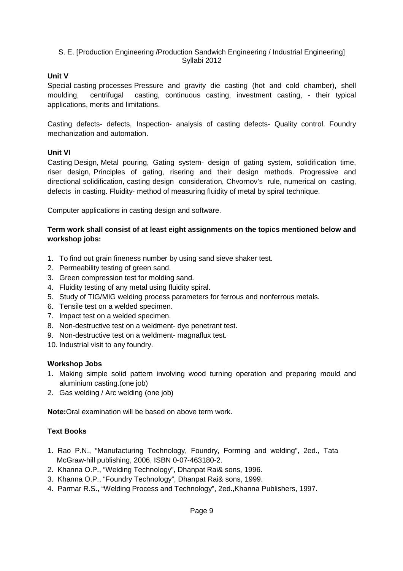### **Unit V**

Special casting processes Pressure and gravity die casting (hot and cold chamber), shell moulding, centrifugal casting, continuous casting, investment casting, - their typical applications, merits and limitations.

Casting defects- defects, Inspection- analysis of casting defects- Quality control. Foundry mechanization and automation.

### **Unit VI**

Casting Design, Metal pouring, Gating system- design of gating system, solidification time, riser design, Principles of gating, risering and their design methods. Progressive and directional solidification, casting design consideration, Chvornov's rule, numerical on casting, defects in casting. Fluidity- method of measuring fluidity of metal by spiral technique.

Computer applications in casting design and software.

### **Term work shall consist of at least eight assignments on the topics mentioned below and workshop jobs:**

- 1. To find out grain fineness number by using sand sieve shaker test.
- 2. Permeability testing of green sand.
- 3. Green compression test for molding sand.
- 4. Fluidity testing of any metal using fluidity spiral.
- 5. Study of TIG/MIG welding process parameters for ferrous and nonferrous metals.
- 6. Tensile test on a welded specimen.
- 7. Impact test on a welded specimen.
- 8. Non-destructive test on a weldment- dye penetrant test.
- 9. Non-destructive test on a weldment- magnaflux test.
- 10. Industrial visit to any foundry.

### **Workshop Jobs**

- 1. Making simple solid pattern involving wood turning operation and preparing mould and aluminium casting.(one job)
- 2. Gas welding / Arc welding (one job)

**Note:**Oral examination will be based on above term work.

### **Text Books**

- 1. Rao P.N., "Manufacturing Technology, Foundry, Forming and welding", 2ed., Tata McGraw-hill publishing, 2006, ISBN 0-07-463180-2.
- 2. Khanna O.P., "Welding Technology", Dhanpat Rai& sons, 1996.
- 3. Khanna O.P., "Foundry Technology", Dhanpat Rai& sons, 1999.
- 4. Parmar R.S., "Welding Process and Technology", 2ed.,Khanna Publishers, 1997.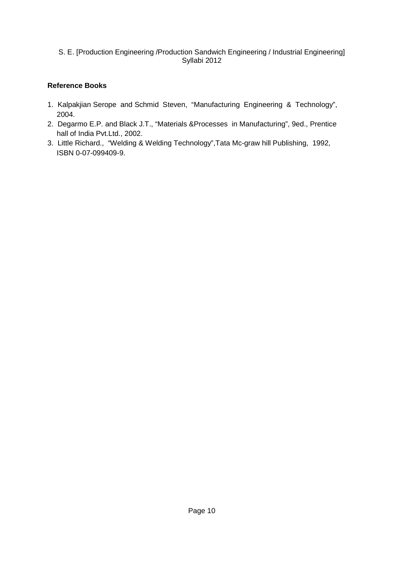### **Reference Books**

- 1. Kalpakjian Serope and Schmid Steven, "Manufacturing Engineering & Technology", 2004.
- 2. Degarmo E.P. and Black J.T., "Materials &Processes in Manufacturing", 9ed., Prentice hall of India Pvt.Ltd., 2002.
- 3. Little Richard., "Welding & Welding Technology",Tata Mc-graw hill Publishing, 1992, ISBN 0-07-099409-9.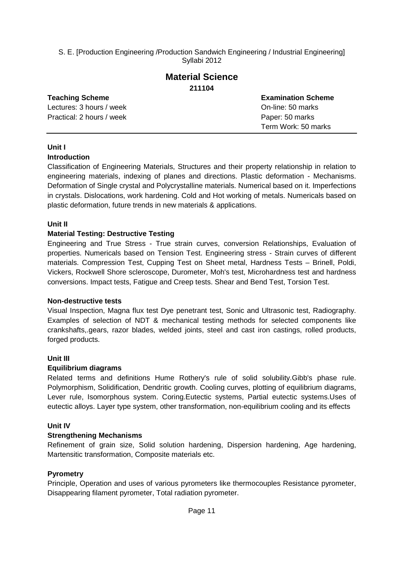### **Material Science 211104**

### **Teaching Scheme Examination Scheme** Lectures: 3 hours / week **Definition** Con-line: 50 marks Practical: 2 hours / week Paper: 50 marks Term Work: 50 marks

### **Unit I**

### **Introduction**

Classification of Engineering Materials, Structures and their property relationship in relation to engineering materials, indexing of planes and directions. Plastic deformation - Mechanisms. Deformation of Single crystal and Polycrystalline materials. Numerical based on it. Imperfections in crystals. Dislocations, work hardening. Cold and Hot working of metals. Numericals based on plastic deformation, future trends in new materials & applications.

### **Unit II**

### **Material Testing: Destructive Testing**

Engineering and True Stress - True strain curves, conversion Relationships, Evaluation of properties. Numericals based on Tension Test. Engineering stress - Strain curves of different materials. Compression Test, Cupping Test on Sheet metal, Hardness Tests – Brinell, Poldi, Vickers, Rockwell Shore scleroscope, Durometer, Moh's test, Microhardness test and hardness conversions. Impact tests, Fatigue and Creep tests. Shear and Bend Test, Torsion Test.

### **Non-destructive tests**

Visual Inspection, Magna flux test Dye penetrant test, Sonic and Ultrasonic test, Radiography. Examples of selection of NDT & mechanical testing methods for selected components like crankshafts,.gears, razor blades, welded joints, steel and cast iron castings, rolled products, forged products.

### **Unit III**

### **Equilibrium diagrams**

Related terms and definitions Hume Rothery's rule of solid solubility.Gibb's phase rule. Polymorphism, Solidification, Dendritic growth. Cooling curves, plotting of equilibrium diagrams, Lever rule, Isomorphous system. Coring.Eutectic systems, Partial eutectic systems.Uses of eutectic alloys. Layer type system, other transformation, non-equilibrium cooling and its effects

### **Unit IV**

### **Strengthening Mechanisms**

Refinement of grain size, Solid solution hardening, Dispersion hardening, Age hardening, Martensitic transformation, Composite materials etc.

### **Pyrometry**

Principle, Operation and uses of various pyrometers like thermocouples Resistance pyrometer, Disappearing filament pyrometer, Total radiation pyrometer.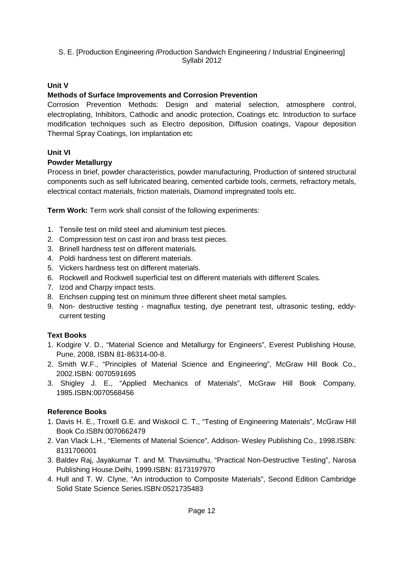### **Unit V**

### **Methods of Surface Improvements and Corrosion Prevention**

Corrosion Prevention Methods: Design and material selection, atmosphere control, electroplating, Inhibitors, Cathodic and anodic protection, Coatings etc. Introduction to surface modification techniques such as Electro deposition, Diffusion coatings, Vapour deposition Thermal Spray Coatings, Ion implantation etc

### **Unit VI**

### **Powder Metallurgy**

Process in brief, powder characteristics, powder manufacturing, Production of sintered structural components such as self lubricated bearing, cemented carbide tools, cermets, refractory metals, electrical contact materials, friction materials, Diamond impregnated tools etc.

**Term Work:** Term work shall consist of the following experiments:

- 1. Tensile test on mild steel and aluminium test pieces.
- 2. Compression test on cast iron and brass test pieces.
- 3. Brinell hardness test on different materials.
- 4. Poldi hardness test on different materials.
- 5. Vickers hardness test on different materials.
- 6. Rockwell and Rockwell superficial test on different materials with different Scales.
- 7. Izod and Charpy impact tests.
- 8. Erichsen cupping test on minimum three different sheet metal samples.
- 9. Non- destructive testing magnaflux testing, dye penetrant test, ultrasonic testing, eddycurrent testing

### **Text Books**

- 1. Kodgire V. D., "Material Science and Metallurgy for Engineers", Everest Publishing House, Pune, 2008, ISBN 81-86314-00-8.
- 2. Smith W.F., "Principles of Material Science and Engineering", McGraw Hill Book Co., 2002.ISBN: 0070591695
- 3. Shigley J. E., "Applied Mechanics of Materials", McGraw Hill Book Company, 1985.ISBN:0070568456

### **Reference Books**

- 1. Davis H. E., Troxell G.E. and Wiskocil C. T., "Testing of Engineering Materials", McGraw Hill Book Co.ISBN:0070662479
- 2. Van Vlack L.H., "Elements of Material Science", Addison- Wesley Publishing Co., 1998.ISBN: 8131706001
- 3. Baldev Raj, Jayakumar T. and M. Thavsimuthu, "Practical Non-Destructive Testing", Narosa Publishing House.Delhi, 1999.ISBN: 8173197970
- 4. Hull and T. W. Clyne, "An introduction to Composite Materials", Second Edition Cambridge Solid State Science Series.ISBN:0521735483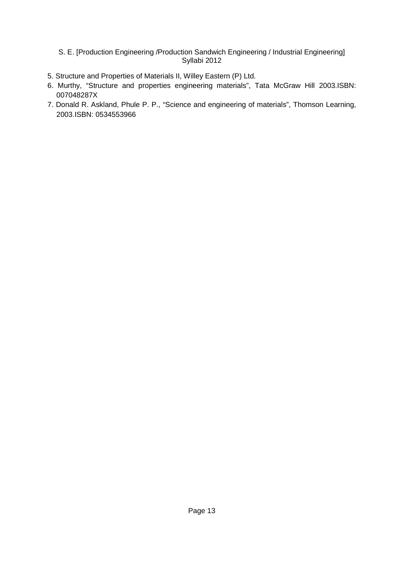- 5. Structure and Properties of Materials II, Willey Eastern (P) Ltd.
- 6. Murthy, "Structure and properties engineering materials", Tata McGraw Hill 2003.ISBN: 007048287X
- 7. Donald R. Askland, Phule P. P., "Science and engineering of materials", Thomson Learning, 2003.ISBN: 0534553966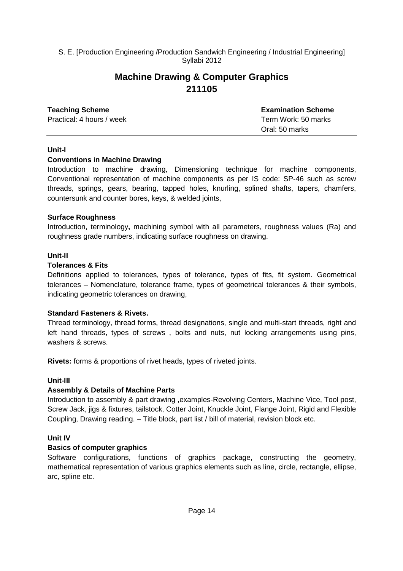### **Machine Drawing & Computer Graphics 211105**

### **Teaching Scheme Examination Scheme** Practical: 4 hours / week Term Work: 50 marks Oral: 50 marks

### **Unit-I**

### **Conventions in Machine Drawing**

Introduction to machine drawing, Dimensioning technique for machine components, Conventional representation of machine components as per IS code: SP-46 such as screw threads, springs, gears, bearing, tapped holes, knurling, splined shafts, tapers, chamfers, countersunk and counter bores, keys, & welded joints,

### **Surface Roughness**

Introduction, terminology**,** machining symbol with all parameters, roughness values (Ra) and roughness grade numbers, indicating surface roughness on drawing.

### **Unit-II**

### **Tolerances & Fits**

Definitions applied to tolerances, types of tolerance, types of fits, fit system. Geometrical tolerances – Nomenclature, tolerance frame, types of geometrical tolerances & their symbols, indicating geometric tolerances on drawing,

### **Standard Fasteners & Rivets.**

Thread terminology, thread forms, thread designations, single and multi-start threads, right and left hand threads, types of screws , bolts and nuts, nut locking arrangements using pins, washers & screws.

**Rivets:** forms & proportions of rivet heads, types of riveted joints.

### **Unit-III**

### **Assembly & Details of Machine Parts**

Introduction to assembly & part drawing ,examples-Revolving Centers, Machine Vice, Tool post, Screw Jack, jigs & fixtures, tailstock, Cotter Joint, Knuckle Joint, Flange Joint, Rigid and Flexible Coupling, Drawing reading. – Title block, part list / bill of material, revision block etc.

### **Unit IV**

### **Basics of computer graphics**

Software configurations, functions of graphics package, constructing the geometry, mathematical representation of various graphics elements such as line, circle, rectangle, ellipse, arc, spline etc.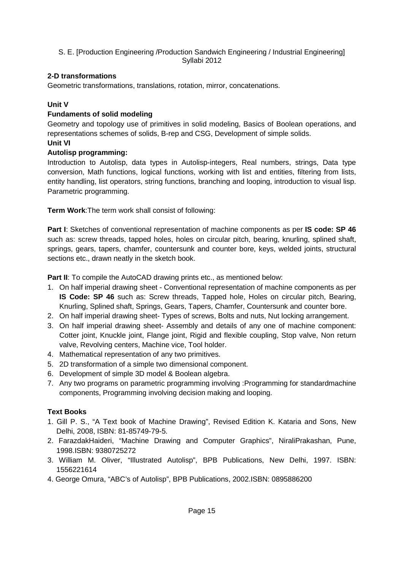### **2-D transformations**

Geometric transformations, translations, rotation, mirror, concatenations.

### **Unit V**

### **Fundaments of solid modeling**

Geometry and topology use of primitives in solid modeling, Basics of Boolean operations, and representations schemes of solids, B-rep and CSG, Development of simple solids. **Unit VI** 

### **Autolisp programming:**

Introduction to Autolisp, data types in Autolisp-integers, Real numbers, strings, Data type conversion, Math functions, logical functions, working with list and entities, filtering from lists, entity handling, list operators, string functions, branching and looping, introduction to visual lisp. Parametric programming.

**Term Work**:The term work shall consist of following:

**Part I**: Sketches of conventional representation of machine components as per **IS code: SP 46** such as: screw threads, tapped holes, holes on circular pitch, bearing, knurling, splined shaft, springs, gears, tapers, chamfer, countersunk and counter bore, keys, welded joints, structural sections etc., drawn neatly in the sketch book.

**Part II:** To compile the AutoCAD drawing prints etc., as mentioned below:

- 1. On half imperial drawing sheet Conventional representation of machine components as per **IS Code: SP 46** such as: Screw threads, Tapped hole, Holes on circular pitch, Bearing, Knurling, Splined shaft, Springs, Gears, Tapers, Chamfer, Countersunk and counter bore.
- 2. On half imperial drawing sheet- Types of screws, Bolts and nuts, Nut locking arrangement.
- 3. On half imperial drawing sheet- Assembly and details of any one of machine component: Cotter joint, Knuckle joint, Flange joint, Rigid and flexible coupling, Stop valve, Non return valve, Revolving centers, Machine vice, Tool holder.
- 4. Mathematical representation of any two primitives.
- 5. 2D transformation of a simple two dimensional component.
- 6. Development of simple 3D model & Boolean algebra.
- 7. Any two programs on parametric programming involving :Programming for standardmachine components, Programming involving decision making and looping.

### **Text Books**

- 1. Gill P. S., "A Text book of Machine Drawing", Revised Edition K. Kataria and Sons, New Delhi, 2008, ISBN: 81-85749-79-5.
- 2. FarazdakHaideri, "Machine Drawing and Computer Graphics", NiraliPrakashan, Pune, 1998.ISBN: 9380725272
- 3. William M. Oliver, "Illustrated Autolisp", BPB Publications, New Delhi, 1997. ISBN: 1556221614
- 4. George Omura, "ABC's of Autolisp", BPB Publications, 2002.ISBN: 0895886200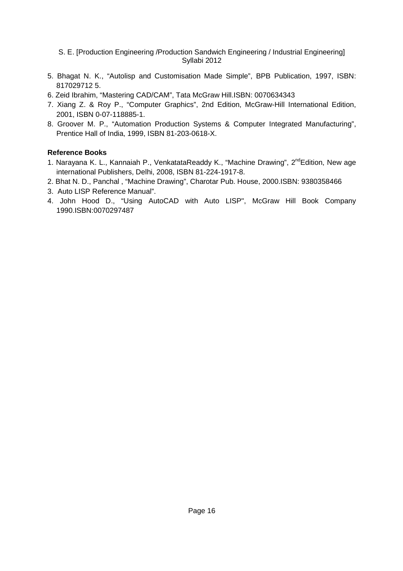- 5. Bhagat N. K., "Autolisp and Customisation Made Simple", BPB Publication, 1997, ISBN: 817029712 5.
- 6. Zeid Ibrahim, "Mastering CAD/CAM", Tata McGraw Hill.ISBN: 0070634343
- 7. Xiang Z. & Roy P., "Computer Graphics", 2nd Edition, McGraw-Hill International Edition, 2001, ISBN 0-07-118885-1.
- 8. Groover M. P., "Automation Production Systems & Computer Integrated Manufacturing", Prentice Hall of India, 1999, ISBN 81-203-0618-X.

### **Reference Books**

- 1. Narayana K. L., Kannaiah P., VenkatataReaddy K., "Machine Drawing", 2<sup>nd</sup>Edition, New age international Publishers, Delhi, 2008, ISBN 81-224-1917-8.
- 2. Bhat N. D., Panchal , "Machine Drawing", Charotar Pub. House, 2000.ISBN: 9380358466
- 3. Auto LISP Reference Manual".
- 4. John Hood D., "Using AutoCAD with Auto LISP", McGraw Hill Book Company 1990.ISBN:0070297487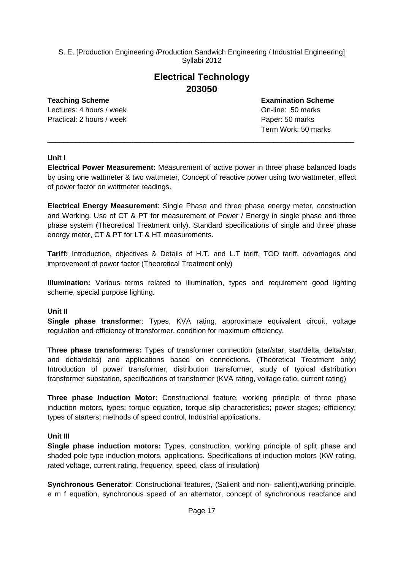### **Electrical Technology 203050**

Lectures: 4 hours / week **Definition** Con-line: 50 marks Practical: 2 hours / week Paper: 50 marks

**Teaching Scheme Examination Scheme** Term Work: 50 marks

### **Unit I**

**Electrical Power Measurement:** Measurement of active power in three phase balanced loads by using one wattmeter & two wattmeter, Concept of reactive power using two wattmeter, effect of power factor on wattmeter readings.

\_\_\_\_\_\_\_\_\_\_\_\_\_\_\_\_\_\_\_\_\_\_\_\_\_\_\_\_\_\_\_\_\_\_\_\_\_\_\_\_\_\_\_\_\_\_\_\_\_\_\_\_\_\_\_\_\_\_\_\_\_\_\_\_\_\_\_\_\_\_\_\_\_\_\_\_

**Electrical Energy Measurement**: Single Phase and three phase energy meter, construction and Working. Use of CT & PT for measurement of Power / Energy in single phase and three phase system (Theoretical Treatment only). Standard specifications of single and three phase energy meter, CT & PT for LT & HT measurements.

**Tariff:** Introduction, objectives & Details of H.T. and L.T tariff, TOD tariff, advantages and improvement of power factor (Theoretical Treatment only)

**Illumination:** Various terms related to illumination, types and requirement good lighting scheme, special purpose lighting.

### **Unit II**

**Single phase transforme**r: Types, KVA rating, approximate equivalent circuit, voltage regulation and efficiency of transformer, condition for maximum efficiency.

**Three phase transformers:** Types of transformer connection (star/star, star/delta, delta/star, and delta/delta) and applications based on connections. (Theoretical Treatment only) Introduction of power transformer, distribution transformer, study of typical distribution transformer substation, specifications of transformer (KVA rating, voltage ratio, current rating)

**Three phase Induction Motor:** Constructional feature, working principle of three phase induction motors, types; torque equation, torque slip characteristics; power stages; efficiency; types of starters; methods of speed control, Industrial applications.

### **Unit III**

**Single phase induction motors:** Types, construction, working principle of split phase and shaded pole type induction motors, applications. Specifications of induction motors (KW rating, rated voltage, current rating, frequency, speed, class of insulation)

**Synchronous Generator**: Constructional features, (Salient and non- salient),working principle, e m f equation, synchronous speed of an alternator, concept of synchronous reactance and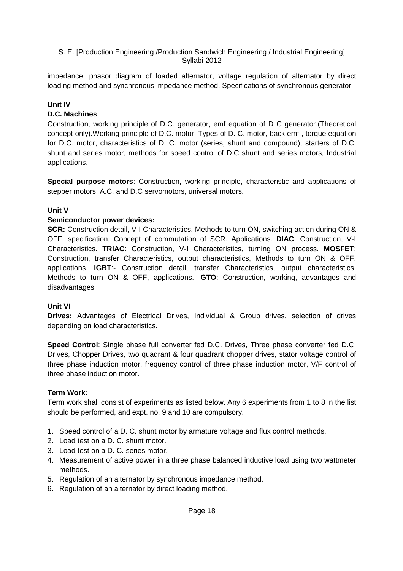impedance, phasor diagram of loaded alternator, voltage regulation of alternator by direct loading method and synchronous impedance method. Specifications of synchronous generator

### **Unit IV**

### **D.C. Machines**

Construction, working principle of D.C. generator, emf equation of D C generator.(Theoretical concept only).Working principle of D.C. motor. Types of D. C. motor, back emf , torque equation for D.C. motor, characteristics of D. C. motor (series, shunt and compound), starters of D.C. shunt and series motor, methods for speed control of D.C shunt and series motors, Industrial applications.

**Special purpose motors**: Construction, working principle, characteristic and applications of stepper motors, A.C. and D.C servomotors, universal motors.

### **Unit V**

### **Semiconductor power devices:**

**SCR:** Construction detail, V-I Characteristics, Methods to turn ON, switching action during ON & OFF, specification, Concept of commutation of SCR. Applications. **DIAC**: Construction, V-I Characteristics. **TRIAC**: Construction, V-I Characteristics, turning ON process. **MOSFET**: Construction, transfer Characteristics, output characteristics, Methods to turn ON & OFF, applications. **IGBT**:- Construction detail, transfer Characteristics, output characteristics, Methods to turn ON & OFF, applications.. **GTO**: Construction, working, advantages and disadvantages

### **Unit VI**

**Drives:** Advantages of Electrical Drives, Individual & Group drives, selection of drives depending on load characteristics.

**Speed Control**: Single phase full converter fed D.C. Drives, Three phase converter fed D.C. Drives, Chopper Drives, two quadrant & four quadrant chopper drives, stator voltage control of three phase induction motor, frequency control of three phase induction motor, V/F control of three phase induction motor.

### **Term Work:**

Term work shall consist of experiments as listed below. Any 6 experiments from 1 to 8 in the list should be performed, and expt. no. 9 and 10 are compulsory.

- 1. Speed control of a D. C. shunt motor by armature voltage and flux control methods.
- 2. Load test on a D. C. shunt motor.
- 3. Load test on a D. C. series motor.
- 4. Measurement of active power in a three phase balanced inductive load using two wattmeter methods.
- 5. Regulation of an alternator by synchronous impedance method.
- 6. Regulation of an alternator by direct loading method.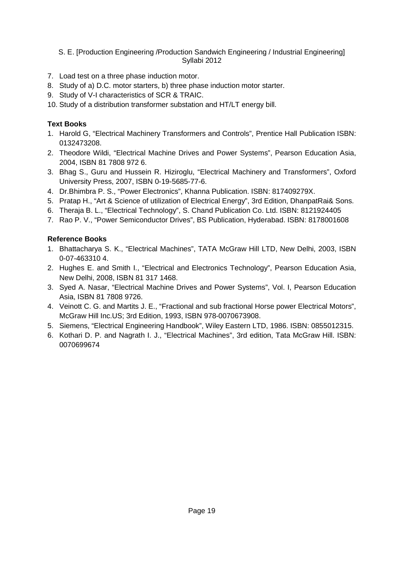- 7. Load test on a three phase induction motor.
- 8. Study of a) D.C. motor starters, b) three phase induction motor starter.
- 9. Study of V-I characteristics of SCR & TRAIC.
- 10. Study of a distribution transformer substation and HT/LT energy bill.

### **Text Books**

- 1. Harold G, "Electrical Machinery Transformers and Controls", Prentice Hall Publication ISBN: 0132473208.
- 2. Theodore Wildi, "Electrical Machine Drives and Power Systems", Pearson Education Asia, 2004, ISBN 81 7808 972 6.
- 3. Bhag S., Guru and Hussein R. Hiziroglu, "Electrical Machinery and Transformers", Oxford University Press, 2007, ISBN 0-19-5685-77-6.
- 4. Dr.Bhimbra P. S., "Power Electronics", Khanna Publication. ISBN: 817409279X.
- 5. Pratap H., "Art & Science of utilization of Electrical Energy", 3rd Edition, DhanpatRai& Sons.
- 6. Theraja B. L., "Electrical Technology", S. Chand Publication Co. Ltd. ISBN: 8121924405
- 7. Rao P. V., "Power Semiconductor Drives", BS Publication, Hyderabad. ISBN: 8178001608

### **Reference Books**

- 1. Bhattacharya S. K., "Electrical Machines", TATA McGraw Hill LTD, New Delhi, 2003, ISBN 0-07-463310 4.
- 2. Hughes E. and Smith I., "Electrical and Electronics Technology", Pearson Education Asia, New Delhi, 2008, ISBN 81 317 1468.
- 3. Syed A. Nasar, "Electrical Machine Drives and Power Systems", Vol. I, Pearson Education Asia, ISBN 81 7808 9726.
- 4. Veinott C. G. and Martits J. E., "Fractional and sub fractional Horse power Electrical Motors", McGraw Hill Inc.US; 3rd Edition, 1993, ISBN 978-0070673908.
- 5. Siemens, "Electrical Engineering Handbook", Wiley Eastern LTD, 1986. ISBN: 0855012315.
- 6. Kothari D. P. and Nagrath I. J., "Electrical Machines", 3rd edition, Tata McGraw Hill. ISBN: 0070699674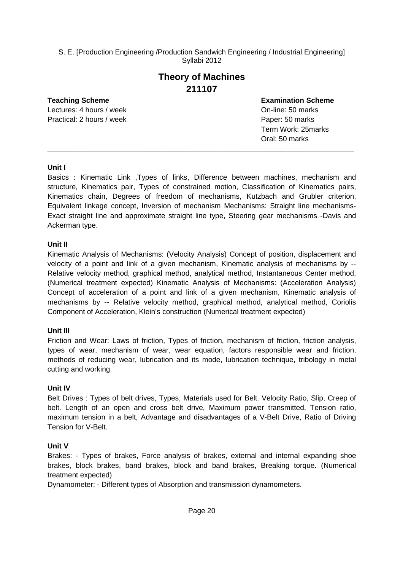### **Theory of Machines 211107**

Lectures: 4 hours / week On-line: 50 marks Practical: 2 hours / week Paper: 50 marks

**Teaching Scheme Examination Scheme** Term Work: 25marks Oral: 50 marks

### **Unit I**

Basics : Kinematic Link ,Types of links, Difference between machines, mechanism and structure, Kinematics pair, Types of constrained motion, Classification of Kinematics pairs, Kinematics chain, Degrees of freedom of mechanisms, Kutzbach and Grubler criterion, Equivalent linkage concept, Inversion of mechanism Mechanisms: Straight line mechanisms-Exact straight line and approximate straight line type, Steering gear mechanisms -Davis and Ackerman type.

\_\_\_\_\_\_\_\_\_\_\_\_\_\_\_\_\_\_\_\_\_\_\_\_\_\_\_\_\_\_\_\_\_\_\_\_\_\_\_\_\_\_\_\_\_\_\_\_\_\_\_\_\_\_\_\_\_\_\_\_\_\_\_\_\_\_\_\_\_\_\_\_\_\_\_\_

### **Unit II**

Kinematic Analysis of Mechanisms: (Velocity Analysis) Concept of position, displacement and velocity of a point and link of a given mechanism, Kinematic analysis of mechanisms by -- Relative velocity method, graphical method, analytical method, Instantaneous Center method, (Numerical treatment expected) Kinematic Analysis of Mechanisms: (Acceleration Analysis) Concept of acceleration of a point and link of a given mechanism, Kinematic analysis of mechanisms by -- Relative velocity method, graphical method, analytical method, Coriolis Component of Acceleration, Klein's construction (Numerical treatment expected)

### **Unit III**

Friction and Wear: Laws of friction, Types of friction, mechanism of friction, friction analysis, types of wear, mechanism of wear, wear equation, factors responsible wear and friction, methods of reducing wear, lubrication and its mode, lubrication technique, tribology in metal cutting and working.

### **Unit IV**

Belt Drives : Types of belt drives, Types, Materials used for Belt. Velocity Ratio, Slip, Creep of belt. Length of an open and cross belt drive, Maximum power transmitted, Tension ratio, maximum tension in a belt, Advantage and disadvantages of a V-Belt Drive, Ratio of Driving Tension for V-Belt.

### **Unit V**

Brakes: - Types of brakes, Force analysis of brakes, external and internal expanding shoe brakes, block brakes, band brakes, block and band brakes, Breaking torque. (Numerical treatment expected)

Dynamometer: - Different types of Absorption and transmission dynamometers.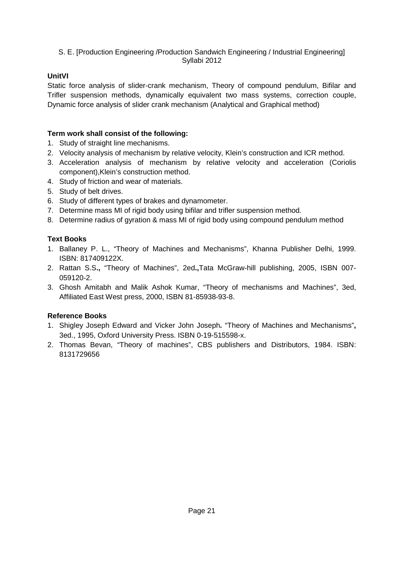### **UnitVI**

Static force analysis of slider-crank mechanism, Theory of compound pendulum, Bifilar and Trifler suspension methods, dynamically equivalent two mass systems, correction couple, Dynamic force analysis of slider crank mechanism (Analytical and Graphical method)

### **Term work shall consist of the following:**

- 1. Study of straight line mechanisms.
- 2. Velocity analysis of mechanism by relative velocity, Klein's construction and ICR method.
- 3. Acceleration analysis of mechanism by relative velocity and acceleration (Coriolis component),Klein's construction method.
- 4. Study of friction and wear of materials.
- 5. Study of belt drives.
- 6. Study of different types of brakes and dynamometer.
- 7. Determine mass MI of rigid body using bifilar and trifler suspension method.
- 8. Determine radius of gyration & mass MI of rigid body using compound pendulum method

### **Text Books**

- 1. Ballaney P. L., "Theory of Machines and Mechanisms", Khanna Publisher Delhi, 1999. ISBN: 817409122X.
- 2. Rattan S.S**.,** "Theory of Machines", 2ed**.,**Tata McGraw-hill publishing, 2005, ISBN 007- 059120-2.
- 3. Ghosh Amitabh and Malik Ashok Kumar, "Theory of mechanisms and Machines", 3ed, Affiliated East West press, 2000, ISBN 81-85938-93-8.

### **Reference Books**

- 1. Shigley Joseph Edward and Vicker John Joseph**.** "Theory of Machines and Mechanisms"**,**  3ed., 1995, Oxford University Press. ISBN 0-19-515598-x.
- 2. Thomas Bevan, "Theory of machines", CBS publishers and Distributors, 1984. ISBN: 8131729656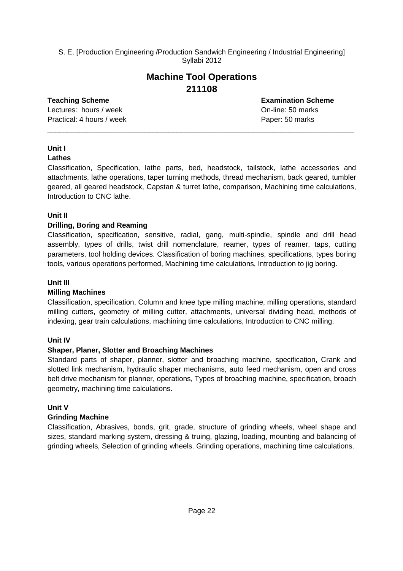### **Machine Tool Operations 211108**

\_\_\_\_\_\_\_\_\_\_\_\_\_\_\_\_\_\_\_\_\_\_\_\_\_\_\_\_\_\_\_\_\_\_\_\_\_\_\_\_\_\_\_\_\_\_\_\_\_\_\_\_\_\_\_\_\_\_\_\_\_\_\_\_\_\_\_\_\_\_\_\_\_\_\_\_

Lectures: hours / week **Definition** Containers on-line: 50 marks Practical: 4 hours / week Paper: 50 marks

**Teaching Scheme Examination Scheme**

### **Unit I**

### **Lathes**

Classification, Specification, lathe parts, bed, headstock, tailstock, lathe accessories and attachments, lathe operations, taper turning methods, thread mechanism, back geared, tumbler geared, all geared headstock, Capstan & turret lathe, comparison, Machining time calculations, Introduction to CNC lathe.

### **Unit II**

### **Drilling, Boring and Reaming**

Classification, specification, sensitive, radial, gang, multi-spindle, spindle and drill head assembly, types of drills, twist drill nomenclature, reamer, types of reamer, taps, cutting parameters, tool holding devices. Classification of boring machines, specifications, types boring tools, various operations performed, Machining time calculations, Introduction to jig boring.

### **Unit III**

### **Milling Machines**

Classification, specification, Column and knee type milling machine, milling operations, standard milling cutters, geometry of milling cutter, attachments, universal dividing head, methods of indexing, gear train calculations, machining time calculations, Introduction to CNC milling.

### **Unit IV**

### **Shaper, Planer, Slotter and Broaching Machines**

Standard parts of shaper, planner, slotter and broaching machine, specification, Crank and slotted link mechanism, hydraulic shaper mechanisms, auto feed mechanism, open and cross belt drive mechanism for planner, operations, Types of broaching machine, specification, broach geometry, machining time calculations.

### **Unit V**

### **Grinding Machine**

Classification, Abrasives, bonds, grit, grade, structure of grinding wheels, wheel shape and sizes, standard marking system, dressing & truing, glazing, loading, mounting and balancing of grinding wheels, Selection of grinding wheels. Grinding operations, machining time calculations.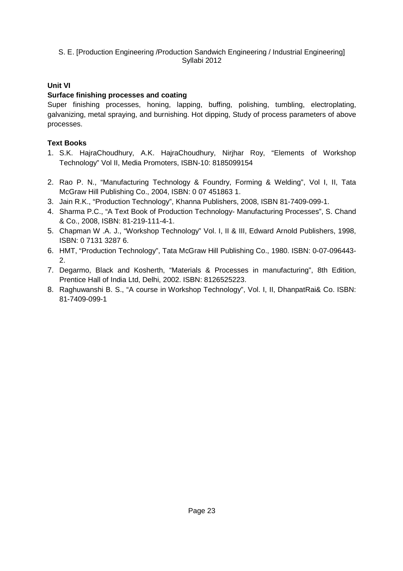### **Unit VI**

### **Surface finishing processes and coating**

Super finishing processes, honing, lapping, buffing, polishing, tumbling, electroplating, galvanizing, metal spraying, and burnishing. Hot dipping, Study of process parameters of above processes.

### **Text Books**

- 1. S.K. HajraChoudhury, A.K. HajraChoudhury, Nirjhar Roy, "Elements of Workshop Technology" Vol II, Media Promoters, ISBN-10: 8185099154
- 2. Rao P. N., "Manufacturing Technology & Foundry, Forming & Welding", Vol I, II, Tata McGraw Hill Publishing Co., 2004, ISBN: 0 07 451863 1.
- 3. Jain R.K., "Production Technology", Khanna Publishers, 2008, ISBN 81-7409-099-1.
- 4. Sharma P.C., "A Text Book of Production Technology- Manufacturing Processes", S. Chand & Co., 2008, ISBN: 81-219-111-4-1.
- 5. Chapman W .A. J., "Workshop Technology" Vol. I, II & III, Edward Arnold Publishers, 1998, ISBN: 0 7131 3287 6.
- 6. HMT, "Production Technology", Tata McGraw Hill Publishing Co., 1980. ISBN: 0-07-096443- 2.
- 7. Degarmo, Black and Kosherth, "Materials & Processes in manufacturing", 8th Edition, Prentice Hall of India Ltd, Delhi, 2002. ISBN: 8126525223.
- 8. Raghuwanshi B. S., "A course in Workshop Technology", Vol. I, II, DhanpatRai& Co. ISBN: 81-7409-099-1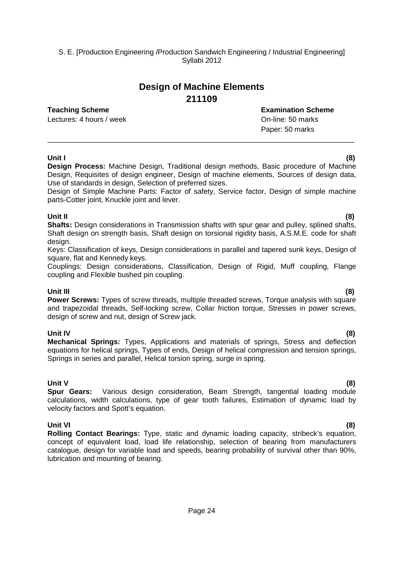## **Design of Machine Elements 211109**

### **Teaching Scheme Examination Scheme**

Lectures: 4 hours / week **Definition** Containers: 4 hours / week **On-line: 50 marks** 

Paper: 50 marks

### **Unit I (8)**

**Design Process:** Machine Design, Traditional design methods, Basic procedure of Machine Design, Requisites of design engineer, Design of machine elements, Sources of design data, Use of standards in design, Selection of preferred sizes.

\_\_\_\_\_\_\_\_\_\_\_\_\_\_\_\_\_\_\_\_\_\_\_\_\_\_\_\_\_\_\_\_\_\_\_\_\_\_\_\_\_\_\_\_\_\_\_\_\_\_\_\_\_\_\_\_\_\_\_\_\_\_\_\_\_\_\_\_\_\_\_\_\_\_\_\_

Design of Simple Machine Parts: Factor of safety, Service factor, Design of simple machine parts-Cotter joint, Knuckle joint and lever.

### **Unit II (8)**

**Shafts:** Design considerations in Transmission shafts with spur gear and pulley, splined shafts, Shaft design on strength basis, Shaft design on torsional rigidity basis, A.S.M.E. code for shaft design.

Keys: Classification of keys, Design considerations in parallel and tapered sunk keys, Design of square, flat and Kennedy keys.

Couplings: Design considerations, Classification, Design of Rigid, Muff coupling, Flange coupling and Flexible bushed pin coupling.

**Unit III (8) Power Screws:** Types of screw threads, multiple threaded screws, Torque analysis with square and trapezoidal threads, Self-locking screw, Collar friction torque, Stresses in power screws, design of screw and nut, design of Screw jack.

**Unit IV (8) Mechanical Springs:** Types, Applications and materials of springs, Stress and deflection equations for helical springs, Types of ends, Design of helical compression and tension springs, Springs in series and parallel, Helical torsion spring, surge in spring.

**Unit V (8) Spur Gears:** Various design consideration, Beam Strength, tangential loading module calculations, width calculations, type of gear tooth failures, Estimation of dynamic load by velocity factors and Spott's equation.

**Unit VI (8) Rolling Contact Bearings:** Type, static and dynamic loading capacity, stribeck's equation, concept of equivalent load, load life relationship, selection of bearing from manufacturers catalogue, design for variable load and speeds, bearing probability of survival other than 90%, lubrication and mounting of bearing.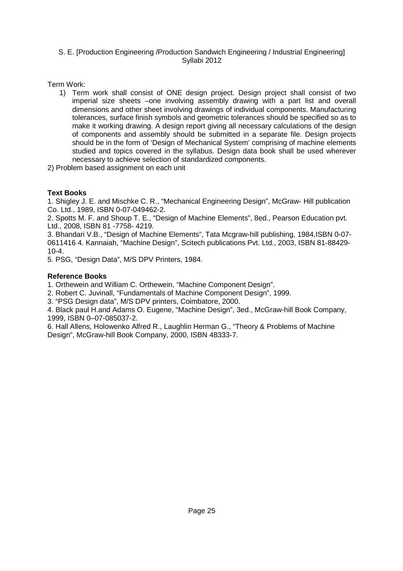Term Work:

- 1) Term work shall consist of ONE design project. Design project shall consist of two imperial size sheets –one involving assembly drawing with a part list and overall dimensions and other sheet involving drawings of individual components. Manufacturing tolerances, surface finish symbols and geometric tolerances should be specified so as to make it working drawing. A design report giving all necessary calculations of the design of components and assembly should be submitted in a separate file. Design projects should be in the form of 'Design of Mechanical System' comprising of machine elements studied and topics covered in the syllabus. Design data book shall be used wherever necessary to achieve selection of standardized components.
- 2) Problem based assignment on each unit

### **Text Books**

1. Shigley J. E. and Mischke C. R., "Mechanical Engineering Design", McGraw- Hill publication Co. Ltd., 1989, ISBN 0-07-049462-2.

2. Spotts M. F. and Shoup T. E., "Design of Machine Elements", 8ed., Pearson Education pvt. Ltd., 2008, ISBN 81 -7758- 4219.

3. Bhandari V.B., "Design of Machine Elements", Tata Mcgraw-hill publishing, 1984,ISBN 0-07- 0611416 4. Kannaiah, "Machine Design", Scitech publications Pvt. Ltd., 2003, ISBN 81-88429-  $10 - 4$ 

5. PSG, "Design Data", M/S DPV Printers, 1984.

### **Reference Books**

1. Orthewein and William C. Orthewein, "Machine Component Design".

2. Robert C. Juvinall, "Fundamentals of Machine Component Design", 1999.

3. "PSG Design data", M/S DPV printers, Coimbatore, 2000.

4. Black paul H.and Adams O. Eugene, "Machine Design", 3ed., McGraw-hill Book Company, 1999, ISBN 0–07-085037-2.

6. Hall Allens, Holowenko Alfred R., Laughlin Herman G., "Theory & Problems of Machine Design", McGraw-hill Book Company, 2000, ISBN 48333-7.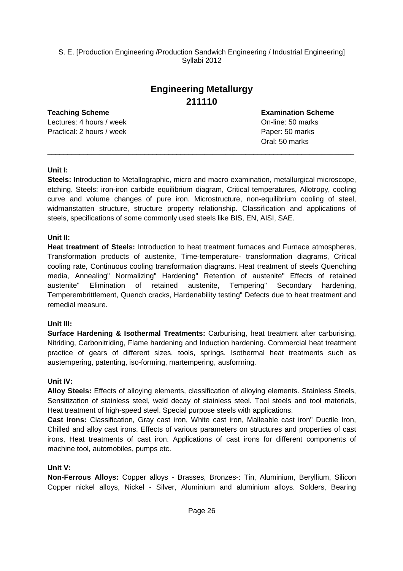## **Engineering Metallurgy 211110**

# **Teaching Scheme Examination Scheme**

Practical: 2 hours / week Paper: 50 marks

Lectures: 4 hours / week **On-line: 50 marks** On-line: 50 marks Oral: 50 marks

### **Unit I:**

**Steels:** Introduction to Metallographic, micro and macro examination, metallurgical microscope, etching. Steels: iron-iron carbide equilibrium diagram, Critical temperatures, Allotropy, cooling curve and volume changes of pure iron. Microstructure, non-equilibrium cooling of steel, widmanstatten structure, structure property relationship. Classification and applications of steels, specifications of some commonly used steels like BIS, EN, AISI, SAE.

\_\_\_\_\_\_\_\_\_\_\_\_\_\_\_\_\_\_\_\_\_\_\_\_\_\_\_\_\_\_\_\_\_\_\_\_\_\_\_\_\_\_\_\_\_\_\_\_\_\_\_\_\_\_\_\_\_\_\_\_\_\_\_\_\_\_\_\_\_\_\_\_\_\_\_\_

### **Unit II:**

**Heat treatment of Steels:** Introduction to heat treatment furnaces and Furnace atmospheres, Transformation products of austenite, Time-temperature- transformation diagrams, Critical cooling rate, Continuous cooling transformation diagrams. Heat treatment of steels Quenching media, Annealing" Normalizing" Hardening" Retention of austenite" Effects of retained austenite" Elimination of retained austenite, Tempering" Secondary hardening, Temperembrittlement, Quench cracks, Hardenability testing" Defects due to heat treatment and remedial measure.

### **Unit III:**

**Surface Hardening & Isothermal Treatments:** Carburising, heat treatment after carburising, Nitriding, Carbonitriding, Flame hardening and Induction hardening. Commercial heat treatment practice of gears of different sizes, tools, springs. Isothermal heat treatments such as austempering, patenting, iso-forming, martempering, ausforrning.

### **Unit IV:**

**Alloy Steels:** Effects of alloying elements, classification of alloying elements. Stainless Steels, Sensitization of stainless steel, weld decay of stainless steel. Tool steels and tool materials, Heat treatment of high-speed steel. Special purpose steels with applications.

**Cast irons:** Classification, Gray cast iron, White cast iron, Malleable cast iron" Ductile Iron, Chilled and alloy cast irons. Effects of various parameters on structures and properties of cast irons, Heat treatments of cast iron. Applications of cast irons for different components of machine tool, automobiles, pumps etc.

### **Unit V:**

**Non-Ferrous Alloys:** Copper alloys - Brasses, Bronzes-: Tin, Aluminium, Beryllium, Silicon Copper nickel alloys, Nickel - Silver, Aluminium and aluminium alloys. Solders, Bearing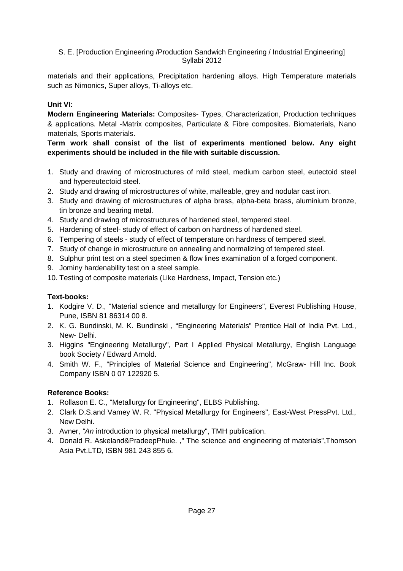materials and their applications, Precipitation hardening alloys. High Temperature materials such as Nimonics, Super alloys, Ti-alloys etc.

### **Unit VI:**

**Modern Engineering Materials:** Composites- Types, Characterization, Production techniques & applications. Metal -Matrix composites, Particulate & Fibre composites. Biomaterials, Nano materials, Sports materials.

### **Term work shall consist of the list of experiments mentioned below. Any eight experiments should be included in the file with suitable discussion.**

- 1. Study and drawing of microstructures of mild steel, medium carbon steel, eutectoid steel and hypereutectoid steel.
- 2. Study and drawing of microstructures of white, malleable, grey and nodular cast iron.
- 3. Study and drawing of microstructures of alpha brass, alpha-beta brass, aluminium bronze, tin bronze and bearing metal.
- 4. Study and drawing of microstructures of hardened steel, tempered steel.
- 5. Hardening of steel- study of effect of carbon on hardness of hardened steel.
- 6. Tempering of steels study of effect of temperature on hardness of tempered steel.
- 7. Study of change in microstructure on annealing and normalizing of tempered steel.
- 8. Sulphur print test on a steel specimen & flow lines examination of a forged component.
- 9. Jominy hardenability test on a steel sample.
- 10. Testing of composite materials (Like Hardness, Impact, Tension etc.)

### **Text-books:**

- 1. Kodgire V. D., "Material science and metallurgy for Engineers", Everest Publishing House, Pune, ISBN 81 86314 00 8.
- 2. K. G. Bundinski, M. K. Bundinski , "Engineering Materials" Prentice Hall of India Pvt. Ltd., New- Delhi.
- 3. Higgins "Engineering Metallurgy", Part I Applied Physical Metallurgy, English Language book Society / Edward Arnold.
- 4. Smith W. F., "Principles of Material Science and Engineering", McGraw- Hill Inc. Book Company ISBN 0 07 122920 5.

### **Reference Books:**

- 1. Rollason E. C., "Metallurgy for Engineering", ELBS Publishing.
- 2. Clark D.S.and Vamey W. R. "Physical Metallurgy for Engineers", East-West PressPvt. Ltd., New Delhi.
- 3. Avner, "An introduction to physical metallurgy", TMH publication.
- 4. Donald R. Askeland&PradeepPhule. ," The science and engineering of materials",Thomson Asia Pvt.LTD, ISBN 981 243 855 6.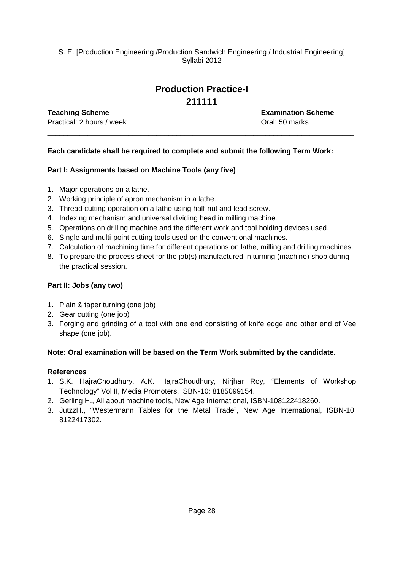## **Production Practice-I 211111**

\_\_\_\_\_\_\_\_\_\_\_\_\_\_\_\_\_\_\_\_\_\_\_\_\_\_\_\_\_\_\_\_\_\_\_\_\_\_\_\_\_\_\_\_\_\_\_\_\_\_\_\_\_\_\_\_\_\_\_\_\_\_\_\_\_\_\_\_\_\_\_\_\_\_\_\_

Practical: 2 hours / week **Dractical: 2 hours / week** Oral: 50 marks

**Teaching Scheme Examination Scheme**

### **Each candidate shall be required to complete and submit the following Term Work:**

### **Part I: Assignments based on Machine Tools (any five)**

- 1. Major operations on a lathe.
- 2. Working principle of apron mechanism in a lathe.
- 3. Thread cutting operation on a lathe using half-nut and lead screw.
- 4. Indexing mechanism and universal dividing head in milling machine.
- 5. Operations on drilling machine and the different work and tool holding devices used.
- 6. Single and multi-point cutting tools used on the conventional machines.
- 7. Calculation of machining time for different operations on lathe, milling and drilling machines.
- 8. To prepare the process sheet for the job(s) manufactured in turning (machine) shop during the practical session.

### **Part II: Jobs (any two)**

- 1. Plain & taper turning (one job)
- 2. Gear cutting (one job)
- 3. Forging and grinding of a tool with one end consisting of knife edge and other end of Vee shape (one job).

### **Note: Oral examination will be based on the Term Work submitted by the candidate.**

### **References**

- 1. S.K. HajraChoudhury, A.K. HajraChoudhury, Nirjhar Roy, "Elements of Workshop Technology" Vol II, Media Promoters, ISBN-10: 8185099154.
- 2. Gerling H., All about machine tools, New Age International, ISBN-108122418260.
- 3. JutzzH., "Westermann Tables for the Metal Trade", New Age International, ISBN-10: 8122417302.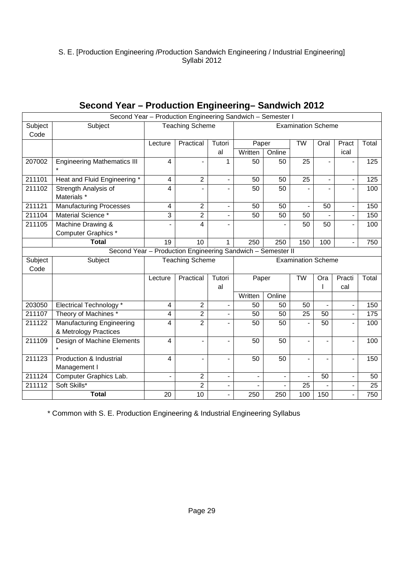|                 | Second Year - Production Engineering Sandwich - Semester I  |                                                     |                        |                |         |                |                           |                          |                          |       |
|-----------------|-------------------------------------------------------------|-----------------------------------------------------|------------------------|----------------|---------|----------------|---------------------------|--------------------------|--------------------------|-------|
| Subject<br>Code | Subject                                                     | <b>Teaching Scheme</b><br><b>Examination Scheme</b> |                        |                |         |                |                           |                          |                          |       |
|                 |                                                             | Lecture                                             | Practical              | Tutori         | Paper   |                | <b>TW</b>                 | Oral                     | Pract                    | Total |
|                 |                                                             |                                                     |                        | al             | Written | Online         |                           |                          | ical                     |       |
| 207002          | <b>Engineering Mathematics III</b><br>$\star$               | 4                                                   |                        | 1              | 50      | 50             | 25                        | $\overline{a}$           |                          | 125   |
| 211101          | Heat and Fluid Engineering *                                | $\overline{\mathbf{4}}$                             | $\overline{2}$         | $\overline{a}$ | 50      | 50             | 25                        | $\overline{\phantom{0}}$ |                          | 125   |
| 211102          | Strength Analysis of<br>Materials *                         | 4                                                   |                        |                | 50      | 50             |                           |                          |                          | 100   |
| 211121          | <b>Manufacturing Processes</b>                              | 4                                                   | $\overline{2}$         |                | 50      | 50             |                           | 50                       |                          | 150   |
| 211104          | Material Science *                                          | 3                                                   | $\overline{c}$         |                | 50      | 50             | 50                        |                          | $\overline{\phantom{a}}$ | 150   |
| 211105          | Machine Drawing &                                           |                                                     | 4                      |                |         |                | 50                        | 50                       |                          | 100   |
|                 | Computer Graphics *                                         |                                                     |                        |                |         |                |                           |                          |                          |       |
|                 | <b>Total</b>                                                | 19                                                  | 10                     | 1              | 250     | 250            | 150                       | 100                      |                          | 750   |
|                 | Second Year - Production Engineering Sandwich - Semester II |                                                     |                        |                |         |                |                           |                          |                          |       |
|                 | Subject<br>Subject<br>Code                                  |                                                     |                        |                |         |                |                           |                          |                          |       |
|                 |                                                             |                                                     | <b>Teaching Scheme</b> |                |         |                | <b>Examination Scheme</b> |                          |                          |       |
|                 |                                                             | Lecture                                             | Practical              | Tutori         | Paper   |                | <b>TW</b>                 | Ora                      | Practi                   | Total |
|                 |                                                             |                                                     |                        | al             |         |                |                           |                          | cal                      |       |
|                 |                                                             |                                                     |                        |                | Written | Online         |                           |                          |                          |       |
| 203050          | Electrical Technology *                                     | $\overline{\mathbf{4}}$                             | $\overline{2}$         |                | 50      | 50             | 50                        |                          |                          | 150   |
| 211107          | Theory of Machines *                                        | 4                                                   | $\overline{c}$         | $\overline{a}$ | 50      | 50             | 25                        | 50                       | $\overline{\phantom{a}}$ | 175   |
| 211122          | <b>Manufacturing Engineering</b><br>& Metrology Practices   | 4                                                   | $\overline{2}$         |                | 50      | 50             |                           | 50                       |                          | 100   |
| 211109          | Design of Machine Elements                                  | 4                                                   | $\blacksquare$         | $\overline{a}$ | 50      | 50             |                           |                          |                          | 100   |
| 211123          | Production & Industrial<br>Management I                     | 4                                                   |                        |                | 50      | 50             |                           |                          |                          | 150   |
| 211124          | Computer Graphics Lab.                                      | $\overline{a}$                                      | $\overline{2}$         |                |         | $\blacksquare$ |                           | 50                       |                          | 50    |
| 211112          | Soft Skills*<br><b>Total</b>                                |                                                     | $\overline{2}$         |                |         |                | 25                        |                          |                          | 25    |

## **Second Year – Production Engineering– Sandwich 2012**

\* Common with S. E. Production Engineering & Industrial Engineering Syllabus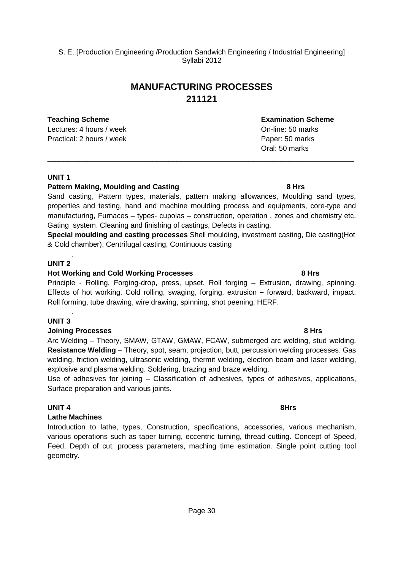## **MANUFACTURING PROCESSES 211121**

**Teaching Scheme Examination Scheme** Lectures: 4 hours / week **Definition** Con-line: 50 marks Practical: 2 hours / week Paper: 50 marks

### **UNIT 1**

### **Pattern Making, Moulding and Casting 8 Hrs 8 Hrs 8 Hrs**

Sand casting, Pattern types, materials, pattern making allowances, Moulding sand types, properties and testing, hand and machine moulding process and equipments, core-type and manufacturing, Furnaces – types- cupolas – construction, operation , zones and chemistry etc. Gating system. Cleaning and finishing of castings, Defects in casting.

**Special moulding and casting processes** Shell moulding, investment casting, Die casting(Hot & Cold chamber), Centrifugal casting, Continuous casting

### **UNIT 2**

.

### **Hot Working and Cold Working Processes 8 Hrs**

Principle - Rolling, Forging-drop, press, upset. Roll forging – Extrusion, drawing, spinning. Effects of hot working. Cold rolling, swaging, forging, extrusion **–** forward, backward, impact. Roll forming, tube drawing, wire drawing, spinning, shot peening, HERF.

### . **UNIT 3**

### **Joining Processes 8 Hrs**

Arc Welding – Theory, SMAW, GTAW, GMAW, FCAW, submerged arc welding, stud welding. **Resistance Welding** – Theory, spot, seam, projection, butt, percussion welding processes. Gas welding, friction welding, ultrasonic welding, thermit welding, electron beam and laser welding, explosive and plasma welding. Soldering, brazing and braze welding.

Use of adhesives for joining – Classification of adhesives, types of adhesives, applications, Surface preparation and various joints.

### **UNIT 4** 8Hrs

### **Lathe Machines**

Introduction to lathe, types, Construction, specifications, accessories, various mechanism, various operations such as taper turning, eccentric turning, thread cutting. Concept of Speed, Feed, Depth of cut, process parameters, maching time estimation. Single point cutting tool geometry.

Oral: 50 marks

# \_\_\_\_\_\_\_\_\_\_\_\_\_\_\_\_\_\_\_\_\_\_\_\_\_\_\_\_\_\_\_\_\_\_\_\_\_\_\_\_\_\_\_\_\_\_\_\_\_\_\_\_\_\_\_\_\_\_\_\_\_\_\_\_\_\_\_\_\_\_\_\_\_\_\_\_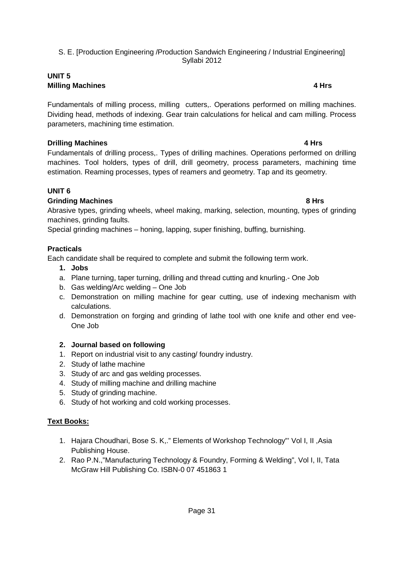### **UNIT 5 Milling Machines 4 Hrs**

Fundamentals of milling process, milling cutters,. Operations performed on milling machines. Dividing head, methods of indexing. Gear train calculations for helical and cam milling. Process parameters, machining time estimation.

### **Drilling Machines 4 Hrs**

Fundamentals of drilling process,. Types of drilling machines. Operations performed on drilling machines. Tool holders, types of drill, drill geometry, process parameters, machining time estimation. Reaming processes, types of reamers and geometry. Tap and its geometry.

### **UNIT 6**

### **Grinding Machines 8 Hrs**

Abrasive types, grinding wheels, wheel making, marking, selection, mounting, types of grinding machines, grinding faults.

Special grinding machines – honing, lapping, super finishing, buffing, burnishing.

### **Practicals**

Each candidate shall be required to complete and submit the following term work.

- **1. Jobs**
- a. Plane turning, taper turning, drilling and thread cutting and knurling.- One Job
- b. Gas welding/Arc welding One Job
- c. Demonstration on milling machine for gear cutting, use of indexing mechanism with calculations.
- d. Demonstration on forging and grinding of lathe tool with one knife and other end vee-One Job

### **2. Journal based on following**

- 1. Report on industrial visit to any casting/ foundry industry.
- 2. Study of lathe machine
- 3. Study of arc and gas welding processes.
- 4. Study of milling machine and drilling machine
- 5. Study of grinding machine.
- 6. Study of hot working and cold working processes.

### **Text Books:**

- 1. Hajara Choudhari, Bose S. K,." Elements of Workshop Technology"' Vol I, II ,Asia Publishing House.
- 2. Rao P.N.,"Manufacturing Technology & Foundry, Forming & Welding", Vol I, II, Tata McGraw Hill Publishing Co. ISBN-0 07 451863 1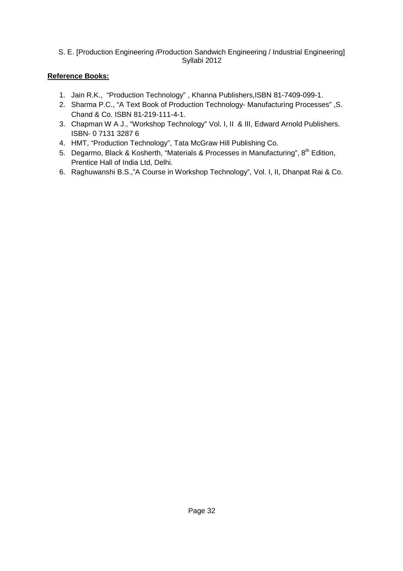### **Reference Books:**

- 1. Jain R.K., "Production Technology" , Khanna Publishers,ISBN 81-7409-099-1.
- 2. Sharma P.C., "A Text Book of Production Technology- Manufacturing Processes" ,S. Chand & Co. ISBN 81-219-111-4-1.
- 3. Chapman W A J., "Workshop Technology" Vol. I, II & III, Edward Arnold Publishers. ISBN- 0 7131 3287 6
- 4. HMT, "Production Technology", Tata McGraw Hill Publishing Co.
- 5. Degarmo, Black & Kosherth, "Materials & Processes in Manufacturing", 8<sup>th</sup> Edition, Prentice Hall of India Ltd, Delhi.
- 6. Raghuwanshi B.S.,"A Course in Workshop Technology", Vol. I, II, Dhanpat Rai & Co.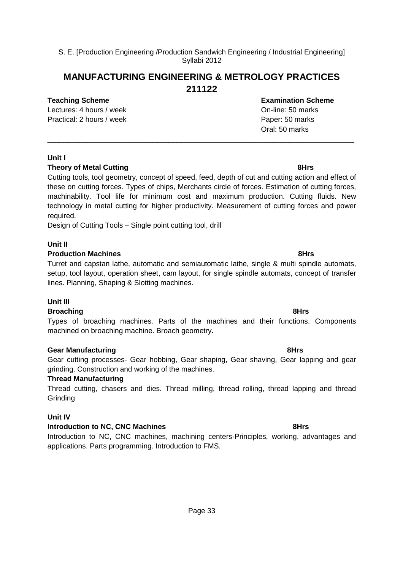### **MANUFACTURING ENGINEERING & METROLOGY PRACTICES 211122**

### **Teaching Scheme Examination Scheme**

Lectures: 4 hours / week On-line: 50 marks Practical: 2 hours / week Paper: 50 marks

Cutting tools, tool geometry, concept of speed, feed, depth of cut and cutting action and effect of these on cutting forces. Types of chips, Merchants circle of forces. Estimation of cutting forces, machinability. Tool life for minimum cost and maximum production. Cutting fluids. New technology in metal cutting for higher productivity. Measurement of cutting forces and power required.

\_\_\_\_\_\_\_\_\_\_\_\_\_\_\_\_\_\_\_\_\_\_\_\_\_\_\_\_\_\_\_\_\_\_\_\_\_\_\_\_\_\_\_\_\_\_\_\_\_\_\_\_\_\_\_\_\_\_\_\_\_\_\_\_\_\_\_\_\_\_\_\_\_\_\_\_

Design of Cutting Tools – Single point cutting tool, drill

### **Unit II**

**Unit I** 

### **Production Machines 8Hrs 8Hrs 8Hrs**

Turret and capstan lathe, automatic and semiautomatic lathe, single & multi spindle automats, setup, tool layout, operation sheet, cam layout, for single spindle automats, concept of transfer lines. Planning, Shaping & Slotting machines.

### **Unit III**

### **Broaching 8Hrs**

Types of broaching machines. Parts of the machines and their functions. Components machined on broaching machine. Broach geometry.

### **Gear Manufacturing 8Hrs**

Gear cutting processes- Gear hobbing, Gear shaping, Gear shaving, Gear lapping and gear grinding. Construction and working of the machines.

### **Thread Manufacturing**

Thread cutting, chasers and dies. Thread milling, thread rolling, thread lapping and thread **Grinding** 

### **Unit IV**

### **Introduction to NC, CNC Machines 8Hrs**

Introduction to NC, CNC machines, machining centers-Principles, working, advantages and applications. Parts programming. Introduction to FMS.

### **Theory of Metal Cutting 6 and 200 and 3 and 3 and 3 and 3 and 3 and 3 and 3 and 3 and 3 and 3 and 3 and 3 and 3 and 3 and 3 and 3 and 3 and 3 and 3 and 3 and 3 and 3 and 3 and 3 and 3 and 3 and 3 and 3 and 3 and 3 and 3 a**

Oral: 50 marks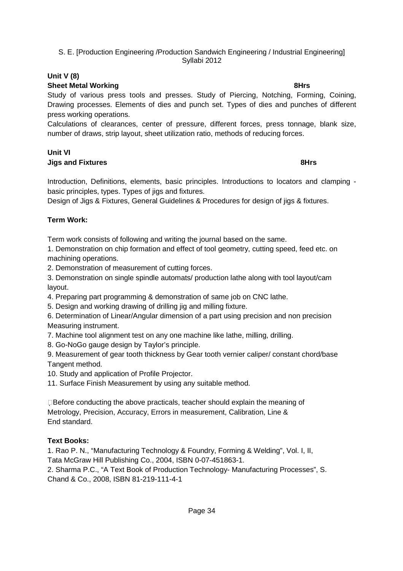### **Unit V (8)**

### **Sheet Metal Working 8Hrs**

Study of various press tools and presses. Study of Piercing, Notching, Forming, Coining, Drawing processes. Elements of dies and punch set. Types of dies and punches of different press working operations.

Calculations of clearances, center of pressure, different forces, press tonnage, blank size, number of draws, strip layout, sheet utilization ratio, methods of reducing forces.

### **Unit VI Jigs and Fixtures 8Hrs**

Introduction, Definitions, elements, basic principles. Introductions to locators and clamping basic principles, types. Types of jigs and fixtures.

Design of Jigs & Fixtures, General Guidelines & Procedures for design of jigs & fixtures.

### **Term Work:**

Term work consists of following and writing the journal based on the same.

1. Demonstration on chip formation and effect of tool geometry, cutting speed, feed etc. on machining operations.

2. Demonstration of measurement of cutting forces.

3. Demonstration on single spindle automats/ production lathe along with tool layout/cam layout.

4. Preparing part programming & demonstration of same job on CNC lathe.

5. Design and working drawing of drilling jig and milling fixture.

6. Determination of Linear/Angular dimension of a part using precision and non precision Measuring instrument.

7. Machine tool alignment test on any one machine like lathe, milling, drilling.

8. Go-NoGo gauge design by Taylor's principle.

9. Measurement of gear tooth thickness by Gear tooth vernier caliper/ constant chord/base Tangent method.

10. Study and application of Profile Projector.

11. Surface Finish Measurement by using any suitable method.

□Before conducting the above practicals, teacher should explain the meaning of Metrology, Precision, Accuracy, Errors in measurement, Calibration, Line & End standard.

### **Text Books:**

1. Rao P. N., "Manufacturing Technology & Foundry, Forming & Welding", Vol. I, II, Tata McGraw Hill Publishing Co., 2004, ISBN 0-07-451863-1.

2. Sharma P.C., "A Text Book of Production Technology- Manufacturing Processes", S. Chand & Co., 2008, ISBN 81-219-111-4-1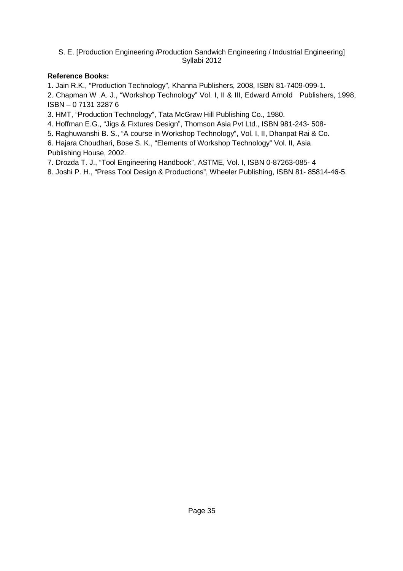### **Reference Books:**

1. Jain R.K., "Production Technology", Khanna Publishers, 2008, ISBN 81-7409-099-1.

2. Chapman W .A. J., "Workshop Technology" Vol. I, II & III, Edward Arnold Publishers, 1998, ISBN – 0 7131 3287 6

3. HMT, "Production Technology", Tata McGraw Hill Publishing Co., 1980.

4. Hoffman E.G., "Jigs & Fixtures Design", Thomson Asia Pvt Ltd., ISBN 981-243- 508-

5. Raghuwanshi B. S., "A course in Workshop Technology", Vol. I, II, Dhanpat Rai & Co.

6. Hajara Choudhari, Bose S. K., "Elements of Workshop Technology" Vol. II, Asia

Publishing House, 2002.

7. Drozda T. J., "Tool Engineering Handbook", ASTME, Vol. I, ISBN 0-87263-085- 4

8. Joshi P. H., "Press Tool Design & Productions", Wheeler Publishing, ISBN 81- 85814-46-5.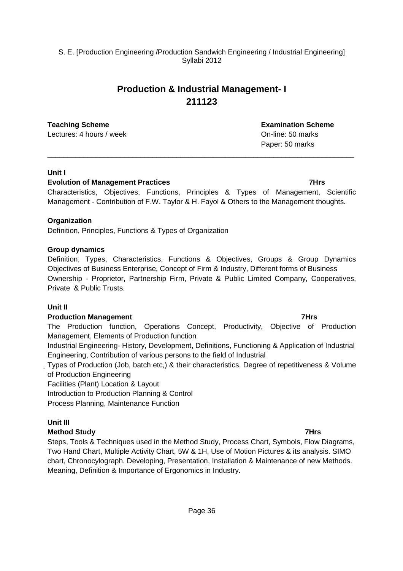## **Production & Industrial Management- I 211123**

Lectures: 4 hours / week **Definition** Containers: 4 hours / week **On-line: 50 marks** 

### **Unit I**

### **Evolution of Management Practices 1988 1999 <b>1999 7Hrs 1999 7Hrs**

Characteristics, Objectives, Functions, Principles & Types of Management, Scientific Management - Contribution of F.W. Taylor & H. Fayol & Others to the Management thoughts.

\_\_\_\_\_\_\_\_\_\_\_\_\_\_\_\_\_\_\_\_\_\_\_\_\_\_\_\_\_\_\_\_\_\_\_\_\_\_\_\_\_\_\_\_\_\_\_\_\_\_\_\_\_\_\_\_\_\_\_\_\_\_\_\_\_\_\_\_\_\_\_\_\_\_\_\_

### **Organization**

Definition, Principles, Functions & Types of Organization

### **Group dynamics**

Definition, Types, Characteristics, Functions & Objectives, Groups & Group Dynamics Objectives of Business Enterprise, Concept of Firm & Industry, Different forms of Business Ownership - Proprietor, Partnership Firm, Private & Public Limited Company, Cooperatives, Private & Public Trusts.

### **Unit II**

### **Production Management 7Hrs 32 and 32 and 32 and 33 and 33 and 34 and 35 and 36 and 37 and 37 and 37 and 37 and 37 and 37 and 37 and 37 and 37 and 37 and 37 and 37 and 37 and 37 and 37 and 37 and 37 and 37 and 37 and 37 an**

The Production function, Operations Concept, Productivity, Objective of Production Management, Elements of Production function

Industrial Engineering- History, Development, Definitions, Functioning & Application of Industrial Engineering, Contribution of various persons to the field of Industrial

Types of Production (Job, batch etc,) & their characteristics, Degree of repetitiveness & Volume of Production Engineering

Facilities (Plant) Location & Layout

Introduction to Production Planning & Control

Process Planning, Maintenance Function

### **Unit III**

### **Method Study 7Hrs**

Steps, Tools & Techniques used in the Method Study, Process Chart, Symbols, Flow Diagrams, Two Hand Chart, Multiple Activity Chart, 5W & 1H, Use of Motion Pictures & its analysis. SIMO chart, Chronocylograph. Developing, Presentation, Installation & Maintenance of new Methods. Meaning, Definition & Importance of Ergonomics in Industry.

**Teaching Scheme Examination Scheme** Paper: 50 marks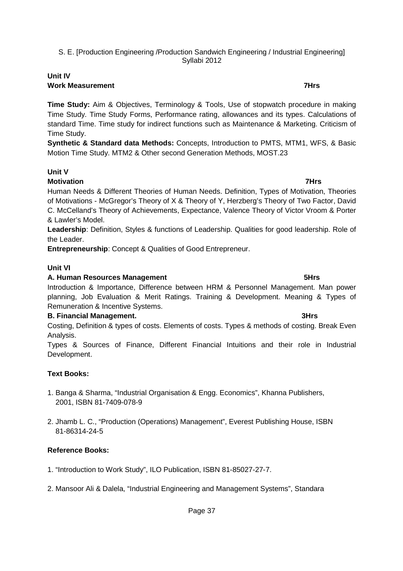### **Unit IV Work Measurement** 7Hrs

**Time Study:** Aim & Objectives, Terminology & Tools, Use of stopwatch procedure in making Time Study. Time Study Forms, Performance rating, allowances and its types. Calculations of standard Time. Time study for indirect functions such as Maintenance & Marketing. Criticism of Time Study.

**Synthetic & Standard data Methods:** Concepts, Introduction to PMTS, MTM1, WFS, & Basic Motion Time Study. MTM2 & Other second Generation Methods, MOST.23

### **Unit V**

### **Motivation 7Hrs**

Human Needs & Different Theories of Human Needs. Definition, Types of Motivation, Theories of Motivations - McGregor's Theory of X & Theory of Y, Herzberg's Theory of Two Factor, David C. McCelland's Theory of Achievements, Expectance, Valence Theory of Victor Vroom & Porter & Lawler's Model.

**Leadership**: Definition, Styles & functions of Leadership. Qualities for good leadership. Role of the Leader.

**Entrepreneurship**: Concept & Qualities of Good Entrepreneur.

### **Unit VI**

### A. Human Resources Management **6 and 1998** SHrs **5Hrs**

Introduction & Importance, Difference between HRM & Personnel Management. Man power planning, Job Evaluation & Merit Ratings. Training & Development. Meaning & Types of Remuneration & Incentive Systems.

### **B. Financial Management. 3Hrs**

Costing, Definition & types of costs. Elements of costs. Types & methods of costing. Break Even Analysis.

Types & Sources of Finance, Different Financial Intuitions and their role in Industrial Development.

### **Text Books:**

- 1. Banga & Sharma, "Industrial Organisation & Engg. Economics", Khanna Publishers, 2001, ISBN 81-7409-078-9
- 2. Jhamb L. C., "Production (Operations) Management", Everest Publishing House, ISBN 81-86314-24-5

### **Reference Books:**

- 1. "Introduction to Work Study", ILO Publication, ISBN 81-85027-27-7.
- 2. Mansoor Ali & Dalela, "Industrial Engineering and Management Systems", Standara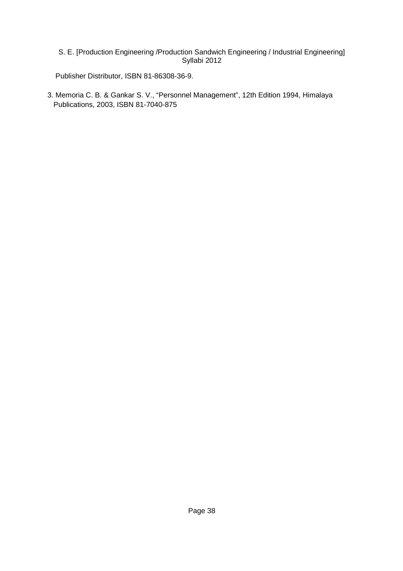Publisher Distributor, ISBN 81-86308-36-9.

3. Memoria C. B. & Gankar S. V., "Personnel Management", 12th Edition 1994, Himalaya Publications, 2003, ISBN 81-7040-875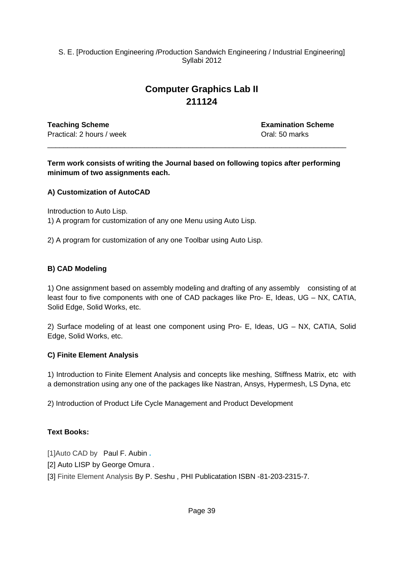## **Computer Graphics Lab II 211124**

**Teaching Scheme Examination Scheme** Practical: 2 hours / week **Dractical: 2 hours / week** Oral: 50 marks

**Term work consists of writing the Journal based on following topics after performing minimum of two assignments each.** 

\_\_\_\_\_\_\_\_\_\_\_\_\_\_\_\_\_\_\_\_\_\_\_\_\_\_\_\_\_\_\_\_\_\_\_\_\_\_\_\_\_\_\_\_\_\_\_\_\_\_\_\_\_\_\_\_\_\_\_\_\_\_\_\_\_\_\_\_\_\_\_\_\_\_

### **A) Customization of AutoCAD**

Introduction to Auto Lisp. 1) A program for customization of any one Menu using Auto Lisp.

2) A program for customization of any one Toolbar using Auto Lisp.

### **B) CAD Modeling**

1) One assignment based on assembly modeling and drafting of any assembly consisting of at least four to five components with one of CAD packages like Pro- E, Ideas, UG – NX, CATIA, Solid Edge, Solid Works, etc.

2) Surface modeling of at least one component using Pro- E, Ideas, UG – NX, CATIA, Solid Edge, Solid Works, etc.

### **C) Finite Element Analysis**

1) Introduction to Finite Element Analysis and concepts like meshing, Stiffness Matrix, etc with a demonstration using any one of the packages like Nastran, Ansys, Hypermesh, LS Dyna, etc

2) Introduction of Product Life Cycle Management and Product Development

### **Text Books:**

[1]Auto CAD byPaul F. Aubin **.**

[2] Auto LISP by George Omura.

[3] Finite Element Analysis By P. Seshu, PHI Publicatation ISBN -81-203-2315-7.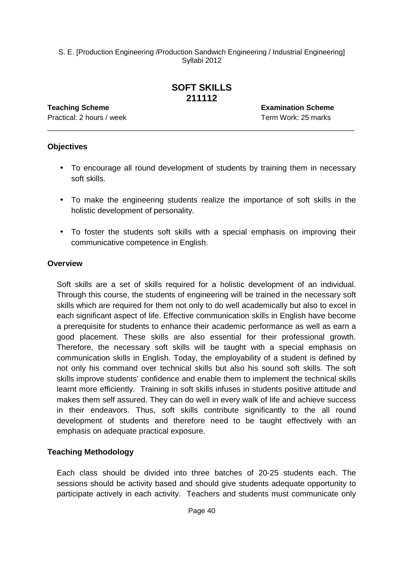## **SOFT SKILLS 211112**

\_\_\_\_\_\_\_\_\_\_\_\_\_\_\_\_\_\_\_\_\_\_\_\_\_\_\_\_\_\_\_\_\_\_\_\_\_\_\_\_\_\_\_\_\_\_\_\_\_\_\_\_\_\_\_\_\_\_\_\_\_\_\_\_\_\_\_\_\_\_\_\_\_\_\_\_

Practical: 2 hours / week Term Work: 25 marks

**Teaching Scheme Examination Scheme**

### **Objectives**

- To encourage all round development of students by training them in necessary soft skills.
- To make the engineering students realize the importance of soft skills in the holistic development of personality.
- To foster the students soft skills with a special emphasis on improving their communicative competence in English.

### **Overview**

 Soft skills are a set of skills required for a holistic development of an individual. Through this course, the students of engineering will be trained in the necessary soft skills which are required for them not only to do well academically but also to excel in each significant aspect of life. Effective communication skills in English have become a prerequisite for students to enhance their academic performance as well as earn a good placement. These skills are also essential for their professional growth. Therefore, the necessary soft skills will be taught with a special emphasis on communication skills in English. Today, the employability of a student is defined by not only his command over technical skills but also his sound soft skills. The soft skills improve students' confidence and enable them to implement the technical skills learnt more efficiently. Training in soft skills infuses in students positive attitude and makes them self assured. They can do well in every walk of life and achieve success in their endeavors. Thus, soft skills contribute significantly to the all round development of students and therefore need to be taught effectively with an emphasis on adequate practical exposure.

### **Teaching Methodology**

 Each class should be divided into three batches of 20-25 students each. The sessions should be activity based and should give students adequate opportunity to participate actively in each activity. Teachers and students must communicate only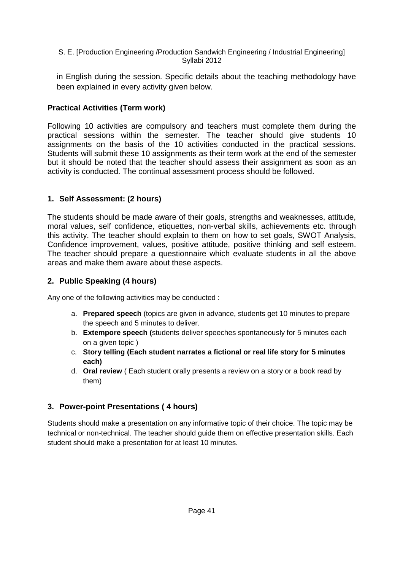in English during the session. Specific details about the teaching methodology have been explained in every activity given below.

### **Practical Activities (Term work)**

Following 10 activities are compulsory and teachers must complete them during the practical sessions within the semester. The teacher should give students 10 assignments on the basis of the 10 activities conducted in the practical sessions. Students will submit these 10 assignments as their term work at the end of the semester but it should be noted that the teacher should assess their assignment as soon as an activity is conducted. The continual assessment process should be followed.

### **1. Self Assessment: (2 hours)**

The students should be made aware of their goals, strengths and weaknesses, attitude, moral values, self confidence, etiquettes, non-verbal skills, achievements etc. through this activity. The teacher should explain to them on how to set goals, SWOT Analysis, Confidence improvement, values, positive attitude, positive thinking and self esteem. The teacher should prepare a questionnaire which evaluate students in all the above areas and make them aware about these aspects.

### **2. Public Speaking (4 hours)**

Any one of the following activities may be conducted :

- a. **Prepared speech** (topics are given in advance, students get 10 minutes to prepare the speech and 5 minutes to deliver.
- b. **Extempore speech (**students deliver speeches spontaneously for 5 minutes each on a given topic )
- c. **Story telling (Each student narrates a fictional or real life story for 5 minutes each)**
- d. **Oral review** ( Each student orally presents a review on a story or a book read by them)

### **3. Power-point Presentations ( 4 hours)**

Students should make a presentation on any informative topic of their choice. The topic may be technical or non-technical. The teacher should guide them on effective presentation skills. Each student should make a presentation for at least 10 minutes.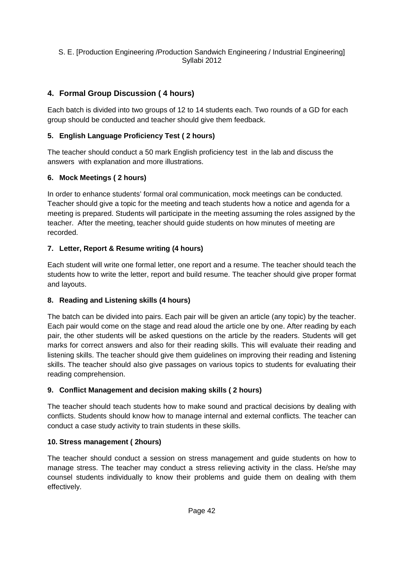### **4. Formal Group Discussion ( 4 hours)**

Each batch is divided into two groups of 12 to 14 students each. Two rounds of a GD for each group should be conducted and teacher should give them feedback.

### **5. English Language Proficiency Test ( 2 hours)**

The teacher should conduct a 50 mark English proficiency test in the lab and discuss the answers with explanation and more illustrations.

### **6. Mock Meetings ( 2 hours)**

In order to enhance students' formal oral communication, mock meetings can be conducted. Teacher should give a topic for the meeting and teach students how a notice and agenda for a meeting is prepared. Students will participate in the meeting assuming the roles assigned by the teacher. After the meeting, teacher should guide students on how minutes of meeting are recorded.

### **7. Letter, Report & Resume writing (4 hours)**

Each student will write one formal letter, one report and a resume. The teacher should teach the students how to write the letter, report and build resume. The teacher should give proper format and layouts.

### **8. Reading and Listening skills (4 hours)**

The batch can be divided into pairs. Each pair will be given an article (any topic) by the teacher. Each pair would come on the stage and read aloud the article one by one. After reading by each pair, the other students will be asked questions on the article by the readers. Students will get marks for correct answers and also for their reading skills. This will evaluate their reading and listening skills. The teacher should give them guidelines on improving their reading and listening skills. The teacher should also give passages on various topics to students for evaluating their reading comprehension.

### **9. Conflict Management and decision making skills ( 2 hours)**

The teacher should teach students how to make sound and practical decisions by dealing with conflicts. Students should know how to manage internal and external conflicts. The teacher can conduct a case study activity to train students in these skills.

### **10. Stress management ( 2hours)**

The teacher should conduct a session on stress management and guide students on how to manage stress. The teacher may conduct a stress relieving activity in the class. He/she may counsel students individually to know their problems and guide them on dealing with them effectively.